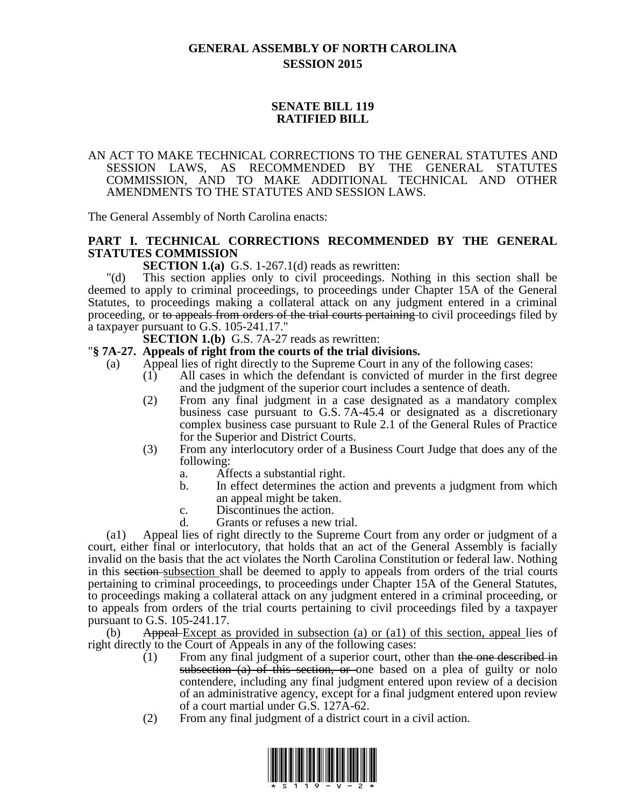# **GENERAL ASSEMBLY OF NORTH CAROLINA SESSION 2015**

## **SENATE BILL 119 RATIFIED BILL**

### AN ACT TO MAKE TECHNICAL CORRECTIONS TO THE GENERAL STATUTES AND SESSION LAWS, AS RECOMMENDED BY THE GENERAL STATUTES COMMISSION, AND TO MAKE ADDITIONAL TECHNICAL AND OTHER AMENDMENTS TO THE STATUTES AND SESSION LAWS.

The General Assembly of North Carolina enacts:

## **PART I. TECHNICAL CORRECTIONS RECOMMENDED BY THE GENERAL STATUTES COMMISSION**

**SECTION 1.(a)** G.S. 1-267.1(d) reads as rewritten:

"(d) This section applies only to civil proceedings. Nothing in this section shall be deemed to apply to criminal proceedings, to proceedings under Chapter 15A of the General Statutes, to proceedings making a collateral attack on any judgment entered in a criminal proceeding, or to appeals from orders of the trial courts pertaining to civil proceedings filed by a taxpayer pursuant to G.S. 105-241.17."

**SECTION 1.(b)** G.S. 7A-27 reads as rewritten:

### "**§ 7A-27. Appeals of right from the courts of the trial divisions.**

- (a) Appeal lies of right directly to the Supreme Court in any of the following cases:
	- (1) All cases in which the defendant is convicted of murder in the first degree and the judgment of the superior court includes a sentence of death.
	- (2) From any final judgment in a case designated as a mandatory complex business case pursuant to G.S. 7A-45.4 or designated as a discretionary complex business case pursuant to Rule 2.1 of the General Rules of Practice for the Superior and District Courts.
	- (3) From any interlocutory order of a Business Court Judge that does any of the following:
		- a. Affects a substantial right.
		- b. In effect determines the action and prevents a judgment from which an appeal might be taken.
		- c. Discontinues the action.
		- d. Grants or refuses a new trial.

(a1) Appeal lies of right directly to the Supreme Court from any order or judgment of a court, either final or interlocutory, that holds that an act of the General Assembly is facially invalid on the basis that the act violates the North Carolina Constitution or federal law. Nothing in this section-subsection shall be deemed to apply to appeals from orders of the trial courts pertaining to criminal proceedings, to proceedings under Chapter 15A of the General Statutes, to proceedings making a collateral attack on any judgment entered in a criminal proceeding, or to appeals from orders of the trial courts pertaining to civil proceedings filed by a taxpayer pursuant to G.S. 105-241.17.

(b) Appeal Except as provided in subsection (a) or (a1) of this section, appeal lies of right directly to the Court of Appeals in any of the following cases:

- (1) From any final judgment of a superior court, other than the one described in subsection  $(a)$  of this section, or one based on a plea of guilty or nolo contendere, including any final judgment entered upon review of a decision of an administrative agency, except for a final judgment entered upon review of a court martial under G.S. 127A-62.
- (2) From any final judgment of a district court in a civil action.

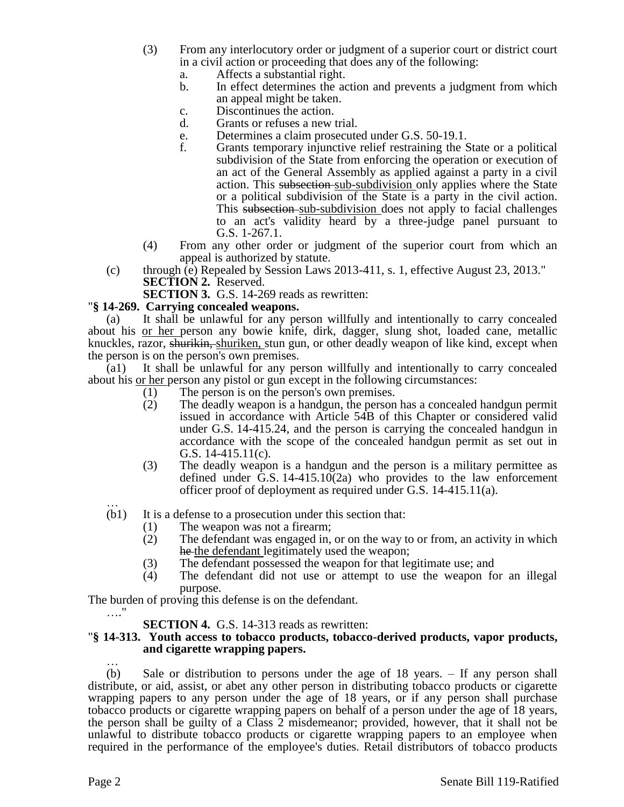- (3) From any interlocutory order or judgment of a superior court or district court in a civil action or proceeding that does any of the following:
	- a. Affects a substantial right.
	- b. In effect determines the action and prevents a judgment from which an appeal might be taken.
	- c. Discontinues the action.
	- d. Grants or refuses a new trial.
	- e. Determines a claim prosecuted under G.S. 50-19.1.
	- f. Grants temporary injunctive relief restraining the State or a political subdivision of the State from enforcing the operation or execution of an act of the General Assembly as applied against a party in a civil action. This subsection sub-subdivision only applies where the State or a political subdivision of the State is a party in the civil action. This subsection sub-subdivision does not apply to facial challenges to an act's validity heard by a three-judge panel pursuant to G.S. 1-267.1.
- (4) From any other order or judgment of the superior court from which an appeal is authorized by statute.
- (c) through (e) Repealed by Session Laws 2013-411, s. 1, effective August 23, 2013." **SECTION 2.** Reserved.

**SECTION 3.** G.S. 14-269 reads as rewritten:

#### "**§ 14-269. Carrying concealed weapons.**

(a) It shall be unlawful for any person willfully and intentionally to carry concealed about his or her person any bowie knife, dirk, dagger, slung shot, loaded cane, metallic knuckles, razor, shurikin, shuriken, stun gun, or other deadly weapon of like kind, except when the person is on the person's own premises.

(a1) It shall be unlawful for any person willfully and intentionally to carry concealed about his or her person any pistol or gun except in the following circumstances:

- (1) The person is on the person's own premises.
- (2) The deadly weapon is a handgun, the person has a concealed handgun permit issued in accordance with Article 54B of this Chapter or considered valid under G.S. 14-415.24, and the person is carrying the concealed handgun in accordance with the scope of the concealed handgun permit as set out in G.S. 14-415.11(c).
- (3) The deadly weapon is a handgun and the person is a military permittee as defined under G.S. 14-415.10(2a) who provides to the law enforcement officer proof of deployment as required under G.S. 14-415.11(a).
- … (b1) It is a defense to a prosecution under this section that:
	- (1) The weapon was not a firearm;
	- (2) The defendant was engaged in, or on the way to or from, an activity in which he the defendant legitimately used the weapon;
	- (3) The defendant possessed the weapon for that legitimate use; and
	- (4) The defendant did not use or attempt to use the weapon for an illegal purpose.

The burden of proving this defense is on the defendant.

### **SECTION 4.** G.S. 14-313 reads as rewritten:

### "**§ 14-313. Youth access to tobacco products, tobacco-derived products, vapor products, and cigarette wrapping papers.**

… (b) Sale or distribution to persons under the age of 18 years. – If any person shall distribute, or aid, assist, or abet any other person in distributing tobacco products or cigarette wrapping papers to any person under the age of 18 years, or if any person shall purchase tobacco products or cigarette wrapping papers on behalf of a person under the age of 18 years, the person shall be guilty of a Class 2 misdemeanor; provided, however, that it shall not be unlawful to distribute tobacco products or cigarette wrapping papers to an employee when required in the performance of the employee's duties. Retail distributors of tobacco products

…."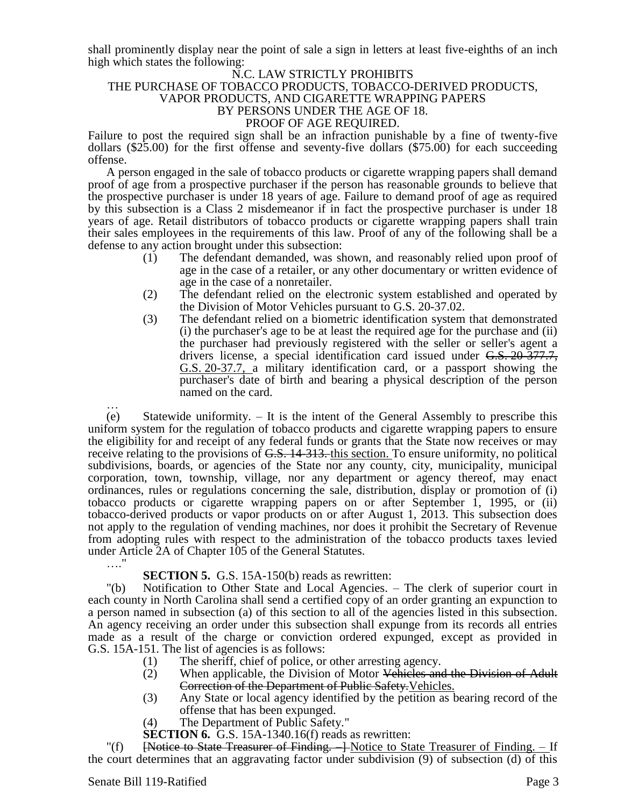shall prominently display near the point of sale a sign in letters at least five-eighths of an inch high which states the following:

#### N.C. LAW STRICTLY PROHIBITS THE PURCHASE OF TOBACCO PRODUCTS, TOBACCO-DERIVED PRODUCTS, VAPOR PRODUCTS, AND CIGARETTE WRAPPING PAPERS BY PERSONS UNDER THE AGE OF 18. PROOF OF AGE REQUIRED.

Failure to post the required sign shall be an infraction punishable by a fine of twenty-five dollars (\$25.00) for the first offense and seventy-five dollars (\$75.00) for each succeeding offense.

A person engaged in the sale of tobacco products or cigarette wrapping papers shall demand proof of age from a prospective purchaser if the person has reasonable grounds to believe that the prospective purchaser is under 18 years of age. Failure to demand proof of age as required by this subsection is a Class 2 misdemeanor if in fact the prospective purchaser is under 18 years of age. Retail distributors of tobacco products or cigarette wrapping papers shall train their sales employees in the requirements of this law. Proof of any of the following shall be a defense to any action brought under this subsection:

- (1) The defendant demanded, was shown, and reasonably relied upon proof of age in the case of a retailer, or any other documentary or written evidence of age in the case of a nonretailer.
- (2) The defendant relied on the electronic system established and operated by the Division of Motor Vehicles pursuant to G.S. 20-37.02.
- (3) The defendant relied on a biometric identification system that demonstrated (i) the purchaser's age to be at least the required age for the purchase and (ii) the purchaser had previously registered with the seller or seller's agent a drivers license, a special identification card issued under G.S. 20-377.7, G.S. 20-37.7, a military identification card, or a passport showing the purchaser's date of birth and bearing a physical description of the person named on the card.

… (e) Statewide uniformity. – It is the intent of the General Assembly to prescribe this uniform system for the regulation of tobacco products and cigarette wrapping papers to ensure the eligibility for and receipt of any federal funds or grants that the State now receives or may receive relating to the provisions of G.S. 14-313. this section. To ensure uniformity, no political subdivisions, boards, or agencies of the State nor any county, city, municipality, municipal corporation, town, township, village, nor any department or agency thereof, may enact ordinances, rules or regulations concerning the sale, distribution, display or promotion of (i) tobacco products or cigarette wrapping papers on or after September 1, 1995, or (ii) tobacco-derived products or vapor products on or after August 1, 2013. This subsection does not apply to the regulation of vending machines, nor does it prohibit the Secretary of Revenue from adopting rules with respect to the administration of the tobacco products taxes levied under Article 2A of Chapter 105 of the General Statutes.

…."

# **SECTION 5.** G.S. 15A-150(b) reads as rewritten:

"(b) Notification to Other State and Local Agencies. – The clerk of superior court in each county in North Carolina shall send a certified copy of an order granting an expunction to a person named in subsection (a) of this section to all of the agencies listed in this subsection. An agency receiving an order under this subsection shall expunge from its records all entries made as a result of the charge or conviction ordered expunged, except as provided in G.S. 15A-151. The list of agencies is as follows:

- (1) The sheriff, chief of police, or other arresting agency.
- (2) When applicable, the Division of Motor Vehicles and the Division of Adult Correction of the Department of Public Safety.Vehicles.
- (3) Any State or local agency identified by the petition as bearing record of the offense that has been expunged.
- (4) The Department of Public Safety."

**SECTION 6.** G.S. 15A-1340.16(f) reads as rewritten:

[Notice to State Treasurer of Finding. –] Notice to State Treasurer of Finding. – If the court determines that an aggravating factor under subdivision (9) of subsection (d) of this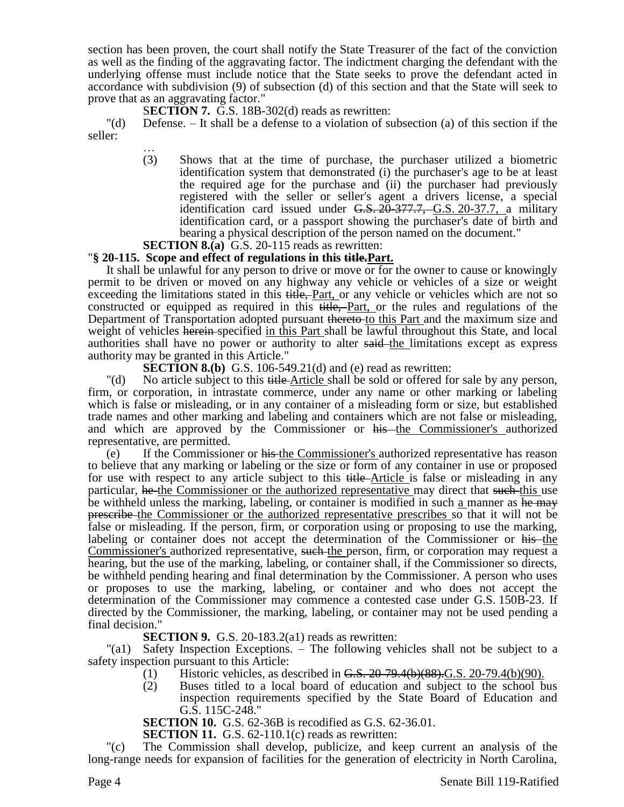section has been proven, the court shall notify the State Treasurer of the fact of the conviction as well as the finding of the aggravating factor. The indictment charging the defendant with the underlying offense must include notice that the State seeks to prove the defendant acted in accordance with subdivision (9) of subsection (d) of this section and that the State will seek to prove that as an aggravating factor."

S**ECTION 7.** G.S. 18B-302(d) reads as rewritten:

"(d) Defense. – It shall be a defense to a violation of subsection (a) of this section if the seller:

… (3) Shows that at the time of purchase, the purchaser utilized a biometric identification system that demonstrated (i) the purchaser's age to be at least the required age for the purchase and (ii) the purchaser had previously registered with the seller or seller's agent a drivers license, a special identification card issued under  $G.S. 20-377.7, G.S. 20-37.7, a military$ identification card, or a passport showing the purchaser's date of birth and bearing a physical description of the person named on the document."

**SECTION 8.(a)** G.S. 20-115 reads as rewritten:

## "**§ 20-115. Scope and effect of regulations in this title.Part.**

It shall be unlawful for any person to drive or move or for the owner to cause or knowingly permit to be driven or moved on any highway any vehicle or vehicles of a size or weight exceeding the limitations stated in this title, Part, or any vehicle or vehicles which are not so constructed or equipped as required in this title, Part, or the rules and regulations of the Department of Transportation adopted pursuant thereto-to this Part and the maximum size and weight of vehicles herein-specified in this Part shall be lawful throughout this State, and local authorities shall have no power or authority to alter said the limitations except as express authority may be granted in this Article."

**SECTION 8.(b)** G.S. 106-549.21(d) and (e) read as rewritten:

"(d) No article subject to this title-Article shall be sold or offered for sale by any person, firm, or corporation, in intrastate commerce, under any name or other marking or labeling which is false or misleading, or in any container of a misleading form or size, but established trade names and other marking and labeling and containers which are not false or misleading, and which are approved by the Commissioner or his the Commissioner's authorized representative, are permitted.

(e) If the Commissioner or his the Commissioner's authorized representative has reason to believe that any marking or labeling or the size or form of any container in use or proposed for use with respect to any article subject to this title-Article is false or misleading in any particular, he the Commissioner or the authorized representative may direct that such this use be withheld unless the marking, labeling, or container is modified in such a manner as he may prescribe the Commissioner or the authorized representative prescribes so that it will not be false or misleading. If the person, firm, or corporation using or proposing to use the marking, labeling or container does not accept the determination of the Commissioner or his the Commissioner's authorized representative, such the person, firm, or corporation may request a hearing, but the use of the marking, labeling, or container shall, if the Commissioner so directs, be withheld pending hearing and final determination by the Commissioner. A person who uses or proposes to use the marking, labeling, or container and who does not accept the determination of the Commissioner may commence a contested case under G.S. 150B-23. If directed by the Commissioner, the marking, labeling, or container may not be used pending a final decision."

**SECTION 9.** G.S. 20-183.2(a1) reads as rewritten:

"(a1) Safety Inspection Exceptions. – The following vehicles shall not be subject to a safety inspection pursuant to this Article:

- (1) Historic vehicles, as described in  $G.S. 20-79.4(b)(88).G.S. 20-79.4(b)(90).$
- (2) Buses titled to a local board of education and subject to the school bus inspection requirements specified by the State Board of Education and G.S. 115C-248."

**SECTION 10.** G.S. 62-36B is recodified as G.S. 62-36.01.

**SECTION 11.** G.S. 62-110.1(c) reads as rewritten:

The Commission shall develop, publicize, and keep current an analysis of the long-range needs for expansion of facilities for the generation of electricity in North Carolina,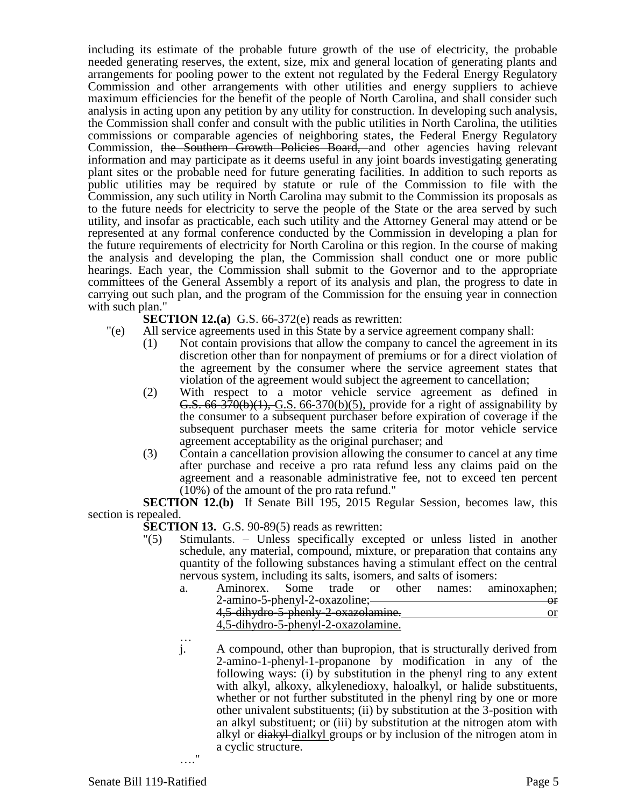including its estimate of the probable future growth of the use of electricity, the probable needed generating reserves, the extent, size, mix and general location of generating plants and arrangements for pooling power to the extent not regulated by the Federal Energy Regulatory Commission and other arrangements with other utilities and energy suppliers to achieve maximum efficiencies for the benefit of the people of North Carolina, and shall consider such analysis in acting upon any petition by any utility for construction. In developing such analysis, the Commission shall confer and consult with the public utilities in North Carolina, the utilities commissions or comparable agencies of neighboring states, the Federal Energy Regulatory Commission, the Southern Growth Policies Board, and other agencies having relevant information and may participate as it deems useful in any joint boards investigating generating plant sites or the probable need for future generating facilities. In addition to such reports as public utilities may be required by statute or rule of the Commission to file with the Commission, any such utility in North Carolina may submit to the Commission its proposals as to the future needs for electricity to serve the people of the State or the area served by such utility, and insofar as practicable, each such utility and the Attorney General may attend or be represented at any formal conference conducted by the Commission in developing a plan for the future requirements of electricity for North Carolina or this region. In the course of making the analysis and developing the plan, the Commission shall conduct one or more public hearings. Each year, the Commission shall submit to the Governor and to the appropriate committees of the General Assembly a report of its analysis and plan, the progress to date in carrying out such plan, and the program of the Commission for the ensuing year in connection with such plan."

- **SECTION 12.(a)** G.S. 66-372(e) reads as rewritten:
- "(e) All service agreements used in this State by a service agreement company shall:
	- (1) Not contain provisions that allow the company to cancel the agreement in its discretion other than for nonpayment of premiums or for a direct violation of the agreement by the consumer where the service agreement states that violation of the agreement would subject the agreement to cancellation;
	- (2) With respect to a motor vehicle service agreement as defined in G.S.  $66-370(b)(1)$ , G.S.  $66-370(b)(5)$ , provide for a right of assignability by the consumer to a subsequent purchaser before expiration of coverage if the subsequent purchaser meets the same criteria for motor vehicle service agreement acceptability as the original purchaser; and
	- (3) Contain a cancellation provision allowing the consumer to cancel at any time after purchase and receive a pro rata refund less any claims paid on the agreement and a reasonable administrative fee, not to exceed ten percent (10%) of the amount of the pro rata refund."

**SECTION 12.(b)** If Senate Bill 195, 2015 Regular Session, becomes law, this section is repealed.

**SECTION 13.** G.S. 90-89(5) reads as rewritten:

"(5) Stimulants. – Unless specifically excepted or unless listed in another schedule, any material, compound, mixture, or preparation that contains any quantity of the following substances having a stimulant effect on the central nervous system, including its salts, isomers, and salts of isomers:

| a. |                                     |  |  |  |  |  | Aminorex. Some trade or other names: aminoxaphen; |
|----|-------------------------------------|--|--|--|--|--|---------------------------------------------------|
|    | 2-amino-5-phenyl-2-oxazoline;—      |  |  |  |  |  |                                                   |
|    | 4,5-dihydro-5-phenly-2-oxazolamine. |  |  |  |  |  |                                                   |
|    | 4,5-dihydro-5-phenyl-2-oxazolamine. |  |  |  |  |  |                                                   |

… j. A compound, other than bupropion, that is structurally derived from 2-amino-1-phenyl-1-propanone by modification in any of the following ways: (i) by substitution in the phenyl ring to any extent with alkyl, alkoxy, alkylenedioxy, haloalkyl, or halide substituents, whether or not further substituted in the phenyl ring by one or more other univalent substituents; (ii) by substitution at the 3-position with an alkyl substituent; or (iii) by substitution at the nitrogen atom with alkyl or <del>diakyl</del> dialkyl groups or by inclusion of the nitrogen atom in a cyclic structure.

…."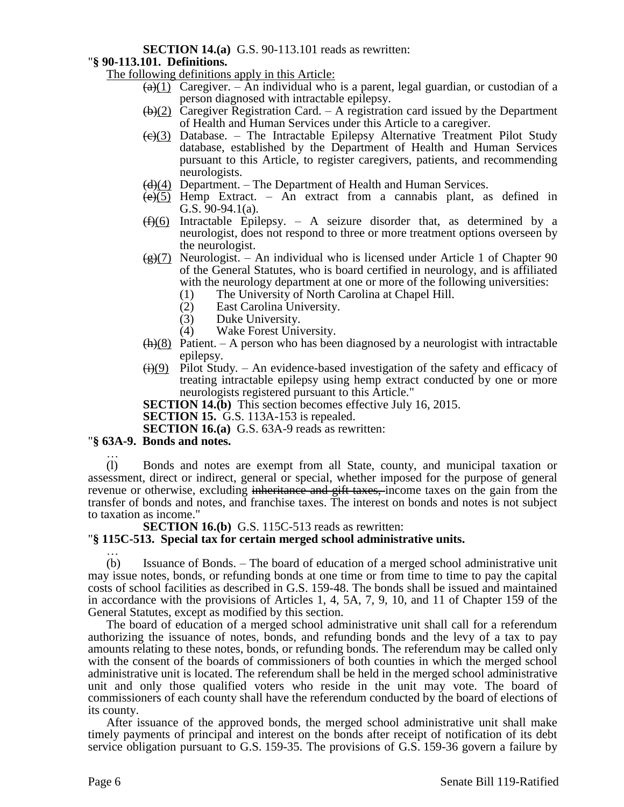## **SECTION 14.(a)** G.S. 90-113.101 reads as rewritten:

## "**§ 90-113.101. Definitions.**

The following definitions apply in this Article:

- $\overline{(a)}(1)$  Caregiver. An individual who is a parent, legal guardian, or custodian of a person diagnosed with intractable epilepsy.
- $\left(\frac{b}{2}\right)$  Caregiver Registration Card. A registration card issued by the Department of Health and Human Services under this Article to a caregiver.
- $\left(\frac{e}{c}\right)$  Database. The Intractable Epilepsy Alternative Treatment Pilot Study database, established by the Department of Health and Human Services pursuant to this Article, to register caregivers, patients, and recommending neurologists.
- $\left(\frac{d}{d}\right)$  Department. The Department of Health and Human Services.
- $(e)(5)$  Hemp Extract. An extract from a cannabis plant, as defined in G.S. 90-94.1(a).
- $(f)(6)$  Intractable Epilepsy. A seizure disorder that, as determined by a neurologist, does not respond to three or more treatment options overseen by the neurologist.
- $\frac{1}{2}(g)(7)$  Neurologist. An individual who is licensed under Article 1 of Chapter 90 of the General Statutes, who is board certified in neurology, and is affiliated with the neurology department at one or more of the following universities:
	- (1) The University of North Carolina at Chapel Hill.
	- (2) East Carolina University.<br>
	(3) Duke University.
		- Duke University.
	- (4) Wake Forest University.
- $(h)(8)$  Patient. A person who has been diagnosed by a neurologist with intractable epilepsy.
- $\leftrightarrow$  (i)(9) Pilot Study. An evidence-based investigation of the safety and efficacy of treating intractable epilepsy using hemp extract conducted by one or more neurologists registered pursuant to this Article."
- **SECTION 14.(b)** This section becomes effective July 16, 2015.

**SECTION 15.** G.S. 113A-153 is repealed.

**SECTION 16.(a)** G.S. 63A-9 reads as rewritten:

### "**§ 63A-9. Bonds and notes.**

… (l) Bonds and notes are exempt from all State, county, and municipal taxation or assessment, direct or indirect, general or special, whether imposed for the purpose of general revenue or otherwise, excluding inheritance and gift taxes, income taxes on the gain from the transfer of bonds and notes, and franchise taxes. The interest on bonds and notes is not subject to taxation as income."

**SECTION 16.(b)** G.S. 115C-513 reads as rewritten:

### "**§ 115C-513. Special tax for certain merged school administrative units.**

… (b) Issuance of Bonds. – The board of education of a merged school administrative unit may issue notes, bonds, or refunding bonds at one time or from time to time to pay the capital costs of school facilities as described in G.S. 159-48. The bonds shall be issued and maintained in accordance with the provisions of Articles 1, 4, 5A, 7, 9, 10, and 11 of Chapter 159 of the General Statutes, except as modified by this section.

The board of education of a merged school administrative unit shall call for a referendum authorizing the issuance of notes, bonds, and refunding bonds and the levy of a tax to pay amounts relating to these notes, bonds, or refunding bonds. The referendum may be called only with the consent of the boards of commissioners of both counties in which the merged school administrative unit is located. The referendum shall be held in the merged school administrative unit and only those qualified voters who reside in the unit may vote. The board of commissioners of each county shall have the referendum conducted by the board of elections of its county.

After issuance of the approved bonds, the merged school administrative unit shall make timely payments of principal and interest on the bonds after receipt of notification of its debt service obligation pursuant to G.S. 159-35. The provisions of G.S. 159-36 govern a failure by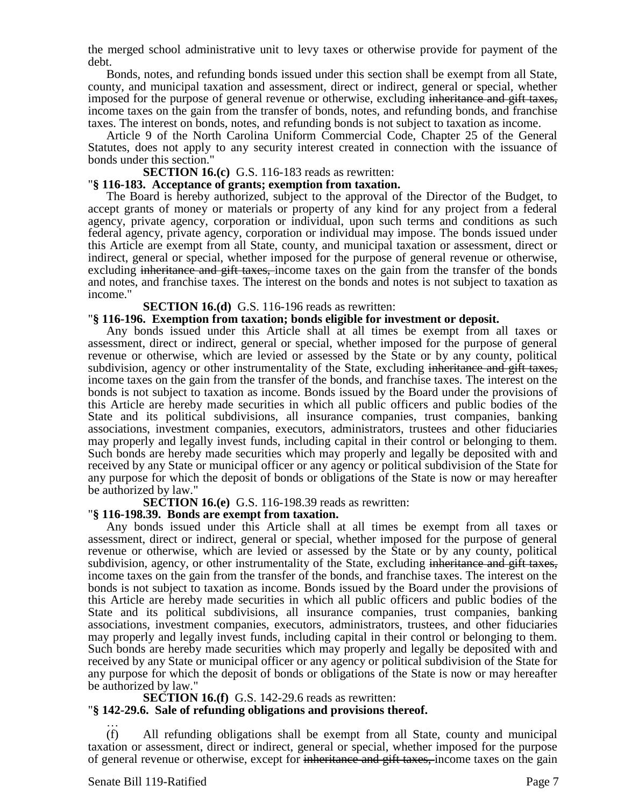the merged school administrative unit to levy taxes or otherwise provide for payment of the debt.

Bonds, notes, and refunding bonds issued under this section shall be exempt from all State, county, and municipal taxation and assessment, direct or indirect, general or special, whether imposed for the purpose of general revenue or otherwise, excluding inheritance and gift taxes, income taxes on the gain from the transfer of bonds, notes, and refunding bonds, and franchise taxes. The interest on bonds, notes, and refunding bonds is not subject to taxation as income.

Article 9 of the North Carolina Uniform Commercial Code, Chapter 25 of the General Statutes, does not apply to any security interest created in connection with the issuance of bonds under this section."

#### **SECTION 16.(c)** G.S. 116-183 reads as rewritten:

#### "**§ 116-183. Acceptance of grants; exemption from taxation.**

The Board is hereby authorized, subject to the approval of the Director of the Budget, to accept grants of money or materials or property of any kind for any project from a federal agency, private agency, corporation or individual, upon such terms and conditions as such federal agency, private agency, corporation or individual may impose. The bonds issued under this Article are exempt from all State, county, and municipal taxation or assessment, direct or indirect, general or special, whether imposed for the purpose of general revenue or otherwise, excluding inheritance and gift taxes, income taxes on the gain from the transfer of the bonds and notes, and franchise taxes. The interest on the bonds and notes is not subject to taxation as income."

#### **SECTION 16.(d)** G.S. 116-196 reads as rewritten:

#### "**§ 116-196. Exemption from taxation; bonds eligible for investment or deposit.**

Any bonds issued under this Article shall at all times be exempt from all taxes or assessment, direct or indirect, general or special, whether imposed for the purpose of general revenue or otherwise, which are levied or assessed by the State or by any county, political subdivision, agency or other instrumentality of the State, excluding inheritance and gift taxes, income taxes on the gain from the transfer of the bonds, and franchise taxes. The interest on the bonds is not subject to taxation as income. Bonds issued by the Board under the provisions of this Article are hereby made securities in which all public officers and public bodies of the State and its political subdivisions, all insurance companies, trust companies, banking associations, investment companies, executors, administrators, trustees and other fiduciaries may properly and legally invest funds, including capital in their control or belonging to them. Such bonds are hereby made securities which may properly and legally be deposited with and received by any State or municipal officer or any agency or political subdivision of the State for any purpose for which the deposit of bonds or obligations of the State is now or may hereafter be authorized by law."

**SECTION 16.(e)** G.S. 116-198.39 reads as rewritten:

#### "**§ 116-198.39. Bonds are exempt from taxation.**

Any bonds issued under this Article shall at all times be exempt from all taxes or assessment, direct or indirect, general or special, whether imposed for the purpose of general revenue or otherwise, which are levied or assessed by the State or by any county, political subdivision, agency, or other instrumentality of the State, excluding inheritance and gift taxes, income taxes on the gain from the transfer of the bonds, and franchise taxes. The interest on the bonds is not subject to taxation as income. Bonds issued by the Board under the provisions of this Article are hereby made securities in which all public officers and public bodies of the State and its political subdivisions, all insurance companies, trust companies, banking associations, investment companies, executors, administrators, trustees, and other fiduciaries may properly and legally invest funds, including capital in their control or belonging to them. Such bonds are hereby made securities which may properly and legally be deposited with and received by any State or municipal officer or any agency or political subdivision of the State for any purpose for which the deposit of bonds or obligations of the State is now or may hereafter be authorized by law."

#### **SECTION 16.(f)** G.S. 142-29.6 reads as rewritten: "**§ 142-29.6. Sale of refunding obligations and provisions thereof.**

… (f) All refunding obligations shall be exempt from all State, county and municipal taxation or assessment, direct or indirect, general or special, whether imposed for the purpose of general revenue or otherwise, except for inheritance and gift taxes, income taxes on the gain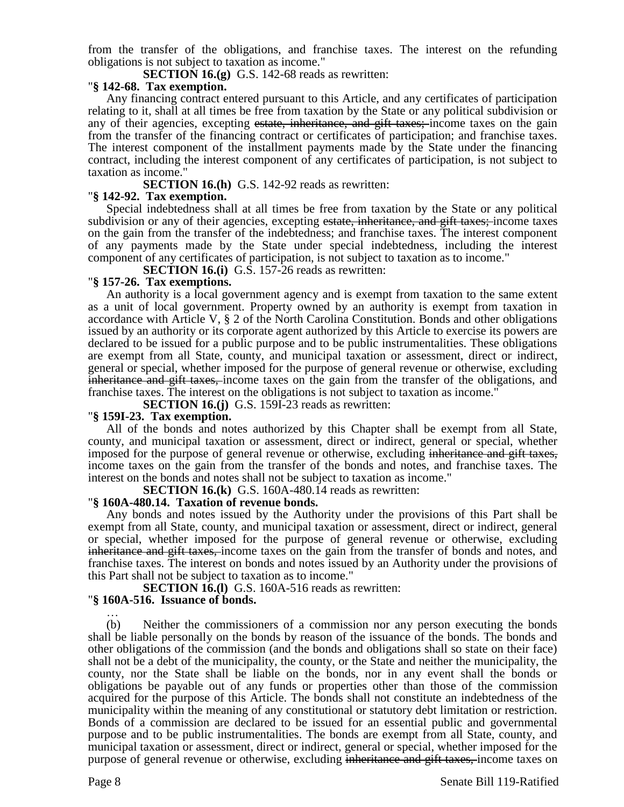from the transfer of the obligations, and franchise taxes. The interest on the refunding obligations is not subject to taxation as income."

**SECTION 16.(g)** G.S. 142-68 reads as rewritten:

#### "**§ 142-68. Tax exemption.**

Any financing contract entered pursuant to this Article, and any certificates of participation relating to it, shall at all times be free from taxation by the State or any political subdivision or any of their agencies, excepting estate, inheritance, and gift taxes; income taxes on the gain from the transfer of the financing contract or certificates of participation; and franchise taxes. The interest component of the installment payments made by the State under the financing contract, including the interest component of any certificates of participation, is not subject to taxation as income.'

**SECTION 16.(h)** G.S. 142-92 reads as rewritten:

## "**§ 142-92. Tax exemption.**

Special indebtedness shall at all times be free from taxation by the State or any political subdivision or any of their agencies, excepting estate, inheritance, and gift taxes; income taxes on the gain from the transfer of the indebtedness; and franchise taxes. The interest component of any payments made by the State under special indebtedness, including the interest component of any certificates of participation, is not subject to taxation as to income."

**SECTION 16.(i)** G.S. 157-26 reads as rewritten:

## "**§ 157-26. Tax exemptions.**

An authority is a local government agency and is exempt from taxation to the same extent as a unit of local government. Property owned by an authority is exempt from taxation in accordance with Article V, § 2 of the North Carolina Constitution. Bonds and other obligations issued by an authority or its corporate agent authorized by this Article to exercise its powers are declared to be issued for a public purpose and to be public instrumentalities. These obligations are exempt from all State, county, and municipal taxation or assessment, direct or indirect, general or special, whether imposed for the purpose of general revenue or otherwise, excluding inheritance and gift taxes, income taxes on the gain from the transfer of the obligations, and franchise taxes. The interest on the obligations is not subject to taxation as income."

**SECTION 16.(j)** G.S. 159I-23 reads as rewritten:

### "**§ 159I-23. Tax exemption.**

All of the bonds and notes authorized by this Chapter shall be exempt from all State, county, and municipal taxation or assessment, direct or indirect, general or special, whether imposed for the purpose of general revenue or otherwise, excluding inheritance and gift taxes, income taxes on the gain from the transfer of the bonds and notes, and franchise taxes. The interest on the bonds and notes shall not be subject to taxation as income."

**SECTION 16.(k)** G.S. 160A-480.14 reads as rewritten:

### "**§ 160A-480.14. Taxation of revenue bonds.**

Any bonds and notes issued by the Authority under the provisions of this Part shall be exempt from all State, county, and municipal taxation or assessment, direct or indirect, general or special, whether imposed for the purpose of general revenue or otherwise, excluding inheritance and gift taxes, income taxes on the gain from the transfer of bonds and notes, and franchise taxes. The interest on bonds and notes issued by an Authority under the provisions of this Part shall not be subject to taxation as to income."

**SECTION 16.(1)** G.S. 160A-516 reads as rewritten:

# "**§ 160A-516. Issuance of bonds.**

… (b) Neither the commissioners of a commission nor any person executing the bonds shall be liable personally on the bonds by reason of the issuance of the bonds. The bonds and other obligations of the commission (and the bonds and obligations shall so state on their face) shall not be a debt of the municipality, the county, or the State and neither the municipality, the county, nor the State shall be liable on the bonds, nor in any event shall the bonds or obligations be payable out of any funds or properties other than those of the commission acquired for the purpose of this Article. The bonds shall not constitute an indebtedness of the municipality within the meaning of any constitutional or statutory debt limitation or restriction. Bonds of a commission are declared to be issued for an essential public and governmental purpose and to be public instrumentalities. The bonds are exempt from all State, county, and municipal taxation or assessment, direct or indirect, general or special, whether imposed for the purpose of general revenue or otherwise, excluding inheritance and gift taxes, income taxes on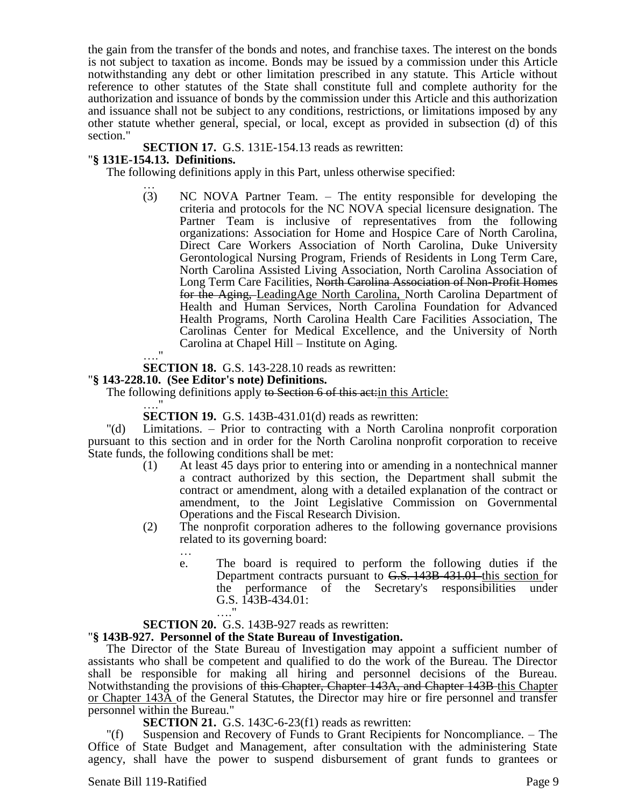the gain from the transfer of the bonds and notes, and franchise taxes. The interest on the bonds is not subject to taxation as income. Bonds may be issued by a commission under this Article notwithstanding any debt or other limitation prescribed in any statute. This Article without reference to other statutes of the State shall constitute full and complete authority for the authorization and issuance of bonds by the commission under this Article and this authorization and issuance shall not be subject to any conditions, restrictions, or limitations imposed by any other statute whether general, special, or local, except as provided in subsection (d) of this section."

**SECTION 17.** G.S. 131E-154.13 reads as rewritten:

## "**§ 131E-154.13. Definitions.**

The following definitions apply in this Part, unless otherwise specified:

… (3) NC NOVA Partner Team. – The entity responsible for developing the criteria and protocols for the NC NOVA special licensure designation. The Partner Team is inclusive of representatives from the following organizations: Association for Home and Hospice Care of North Carolina, Direct Care Workers Association of North Carolina, Duke University Gerontological Nursing Program, Friends of Residents in Long Term Care, North Carolina Assisted Living Association, North Carolina Association of Long Term Care Facilities, North Carolina Association of Non-Profit Homes for the Aging, LeadingAge North Carolina, North Carolina Department of Health and Human Services, North Carolina Foundation for Advanced Health Programs, North Carolina Health Care Facilities Association, The Carolinas Center for Medical Excellence, and the University of North Carolina at Chapel Hill – Institute on Aging.

…."

…

**SECTION 18.** G.S. 143-228.10 reads as rewritten:

### "**§ 143-228.10. (See Editor's note) Definitions.**

The following definitions apply to Section 6 of this act: in this Article:

…." **SECTION 19.** G.S. 143B-431.01(d) reads as rewritten:

"(d) Limitations. – Prior to contracting with a North Carolina nonprofit corporation pursuant to this section and in order for the North Carolina nonprofit corporation to receive State funds, the following conditions shall be met:

- (1) At least 45 days prior to entering into or amending in a nontechnical manner a contract authorized by this section, the Department shall submit the contract or amendment, along with a detailed explanation of the contract or amendment, to the Joint Legislative Commission on Governmental Operations and the Fiscal Research Division.
- (2) The nonprofit corporation adheres to the following governance provisions related to its governing board:
	- e. The board is required to perform the following duties if the Department contracts pursuant to G.S. 143B-431.01 this section for the performance of the Secretary's responsibilities under G.S. 143B-434.01:

#### …." **SECTION 20.** G.S. 143B-927 reads as rewritten:

# "**§ 143B-927. Personnel of the State Bureau of Investigation.**

The Director of the State Bureau of Investigation may appoint a sufficient number of assistants who shall be competent and qualified to do the work of the Bureau. The Director shall be responsible for making all hiring and personnel decisions of the Bureau. Notwithstanding the provisions of this Chapter, Chapter 143A, and Chapter 143B this Chapter or Chapter 143A of the General Statutes, the Director may hire or fire personnel and transfer personnel within the Bureau."

**SECTION 21.** G.S. 143C-6-23(f1) reads as rewritten:

"(f) Suspension and Recovery of Funds to Grant Recipients for Noncompliance. – The Office of State Budget and Management, after consultation with the administering State agency, shall have the power to suspend disbursement of grant funds to grantees or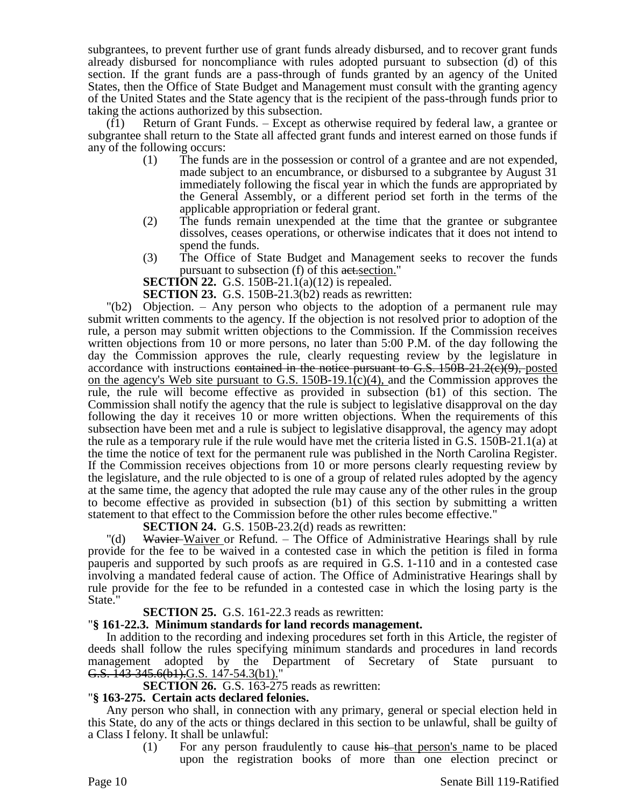subgrantees, to prevent further use of grant funds already disbursed, and to recover grant funds already disbursed for noncompliance with rules adopted pursuant to subsection (d) of this section. If the grant funds are a pass-through of funds granted by an agency of the United States, then the Office of State Budget and Management must consult with the granting agency of the United States and the State agency that is the recipient of the pass-through funds prior to taking the actions authorized by this subsection.

(f1) Return of Grant Funds. – Except as otherwise required by federal law, a grantee or subgrantee shall return to the State all affected grant funds and interest earned on those funds if any of the following occurs:

- (1) The funds are in the possession or control of a grantee and are not expended, made subject to an encumbrance, or disbursed to a subgrantee by August 31 immediately following the fiscal year in which the funds are appropriated by the General Assembly, or a different period set forth in the terms of the applicable appropriation or federal grant.
- (2) The funds remain unexpended at the time that the grantee or subgrantee dissolves, ceases operations, or otherwise indicates that it does not intend to spend the funds.
- (3) The Office of State Budget and Management seeks to recover the funds pursuant to subsection (f) of this act section."

**SECTION 22.** G.S. 150B-21.1(a)(12) is repealed.

**SECTION 23.** G.S. 150B-21.3(b2) reads as rewritten:

"(b2) Objection. – Any person who objects to the adoption of a permanent rule may submit written comments to the agency. If the objection is not resolved prior to adoption of the rule, a person may submit written objections to the Commission. If the Commission receives written objections from 10 or more persons, no later than 5:00 P.M. of the day following the day the Commission approves the rule, clearly requesting review by the legislature in accordance with instructions contained in the notice pursuant to G.S.  $150B-21.2(e)(9)$ , posted on the agency's Web site pursuant to G.S. 150B-19.1(c)(4), and the Commission approves the rule, the rule will become effective as provided in subsection (b1) of this section. The Commission shall notify the agency that the rule is subject to legislative disapproval on the day following the day it receives 10 or more written objections. When the requirements of this subsection have been met and a rule is subject to legislative disapproval, the agency may adopt the rule as a temporary rule if the rule would have met the criteria listed in G.S. 150B-21.1(a) at the time the notice of text for the permanent rule was published in the North Carolina Register. If the Commission receives objections from 10 or more persons clearly requesting review by the legislature, and the rule objected to is one of a group of related rules adopted by the agency at the same time, the agency that adopted the rule may cause any of the other rules in the group to become effective as provided in subsection (b1) of this section by submitting a written statement to that effect to the Commission before the other rules become effective."

**SECTION 24.** G.S. 150B-23.2(d) reads as rewritten:

"(d) Wavier-Waiver or Refund. – The Office of Administrative Hearings shall by rule provide for the fee to be waived in a contested case in which the petition is filed in forma pauperis and supported by such proofs as are required in G.S. 1-110 and in a contested case involving a mandated federal cause of action. The Office of Administrative Hearings shall by rule provide for the fee to be refunded in a contested case in which the losing party is the State."

# **SECTION 25.** G.S. 161-22.3 reads as rewritten:

# "**§ 161-22.3. Minimum standards for land records management.**

In addition to the recording and indexing procedures set forth in this Article, the register of deeds shall follow the rules specifying minimum standards and procedures in land records management adopted by the Department of Secretary of State pursuant to G.S. 143-345.6(b1).G.S. 147-54.3(b1).

**SECTION 26.** G.S. 163-275 reads as rewritten:

### "**§ 163-275. Certain acts declared felonies.**

Any person who shall, in connection with any primary, general or special election held in this State, do any of the acts or things declared in this section to be unlawful, shall be guilty of a Class I felony. It shall be unlawful:

 $(1)$  For any person fraudulently to cause his that person's name to be placed upon the registration books of more than one election precinct or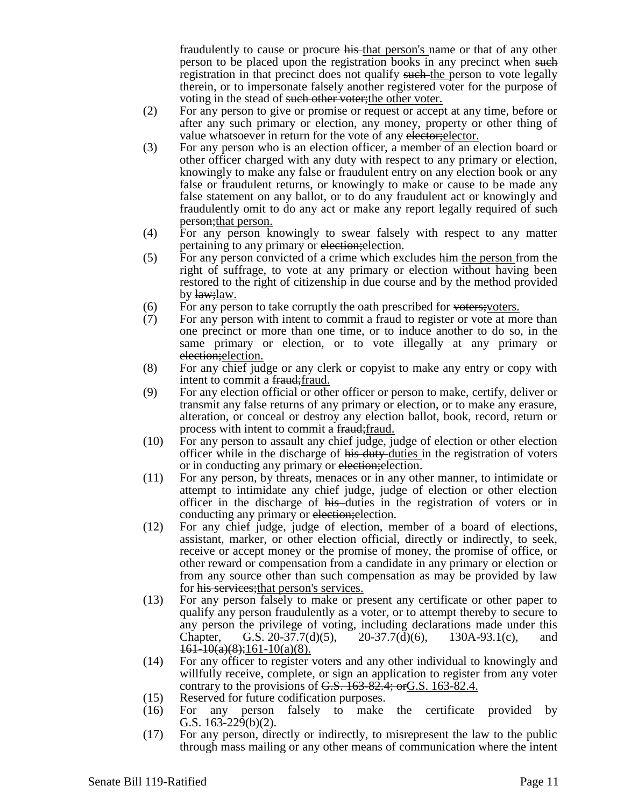fraudulently to cause or procure his that person's name or that of any other person to be placed upon the registration books in any precinct when such registration in that precinct does not qualify such the person to vote legally therein, or to impersonate falsely another registered voter for the purpose of voting in the stead of such other voter; the other voter.

- (2) For any person to give or promise or request or accept at any time, before or after any such primary or election, any money, property or other thing of value whatsoever in return for the vote of any elector; elector.
- (3) For any person who is an election officer, a member of an election board or other officer charged with any duty with respect to any primary or election, knowingly to make any false or fraudulent entry on any election book or any false or fraudulent returns, or knowingly to make or cause to be made any false statement on any ballot, or to do any fraudulent act or knowingly and fraudulently omit to do any act or make any report legally required of such **person**; that person.
- (4) For any person knowingly to swear falsely with respect to any matter pertaining to any primary or election;election.
- $(5)$  For any person convicted of a crime which excludes him the person from the right of suffrage, to vote at any primary or election without having been restored to the right of citizenship in due course and by the method provided by law; law.
- 
- (6) For any person to take corruptly the oath prescribed for  $\overline{\text{veters}}$ ; (7) For any person with intent to commit a fraud to register or vote at mo For any person with intent to commit a fraud to register or vote at more than one precinct or more than one time, or to induce another to do so, in the same primary or election, or to vote illegally at any primary or election; election.
- (8) For any chief judge or any clerk or copyist to make any entry or copy with intent to commit a fraud; fraud.
- (9) For any election official or other officer or person to make, certify, deliver or transmit any false returns of any primary or election, or to make any erasure, alteration, or conceal or destroy any election ballot, book, record, return or process with intent to commit a fraud; fraud.
- (10) For any person to assault any chief judge, judge of election or other election officer while in the discharge of his duty duties in the registration of voters or in conducting any primary or election;election.
- (11) For any person, by threats, menaces or in any other manner, to intimidate or attempt to intimidate any chief judge, judge of election or other election officer in the discharge of his duties in the registration of voters or in conducting any primary or election; election.
- (12) For any chief judge, judge of election, member of a board of elections, assistant, marker, or other election official, directly or indirectly, to seek, receive or accept money or the promise of money, the promise of office, or other reward or compensation from a candidate in any primary or election or from any source other than such compensation as may be provided by law for his services; that person's services.
- (13) For any person falsely to make or present any certificate or other paper to qualify any person fraudulently as a voter, or to attempt thereby to secure to any person the privilege of voting, including declarations made under this Chapter, G.S. 20-37.7(d)(5), 20-37.7(d)(6), 130A-93.1(c), and  $161-10(a)(8);161-10(a)(8).$
- (14) For any officer to register voters and any other individual to knowingly and willfully receive, complete, or sign an application to register from any voter contrary to the provisions of  $G.S. 163-82.4$ ; or  $G.S. 163-82.4$ .
- (15) Reserved for future codification purposes.
- (16) For any person falsely to make the certificate provided by G.S. 163-229(b)(2).
- (17) For any person, directly or indirectly, to misrepresent the law to the public through mass mailing or any other means of communication where the intent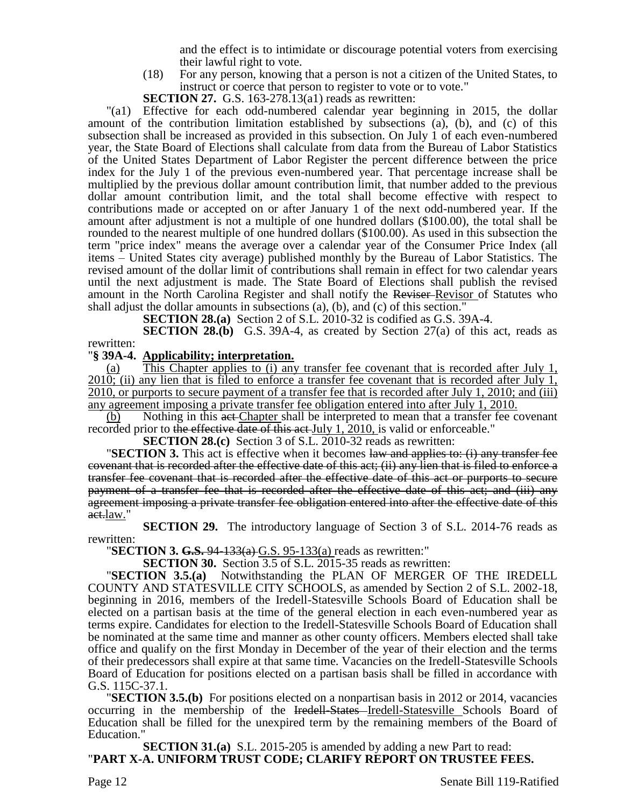and the effect is to intimidate or discourage potential voters from exercising their lawful right to vote.

- (18) For any person, knowing that a person is not a citizen of the United States, to instruct or coerce that person to register to vote or to vote."
- **SECTION 27.** G.S. 163-278.13(a1) reads as rewritten:

"(a1) Effective for each odd-numbered calendar year beginning in 2015, the dollar amount of the contribution limitation established by subsections (a), (b), and (c) of this subsection shall be increased as provided in this subsection. On July 1 of each even-numbered year, the State Board of Elections shall calculate from data from the Bureau of Labor Statistics of the United States Department of Labor Register the percent difference between the price index for the July 1 of the previous even-numbered year. That percentage increase shall be multiplied by the previous dollar amount contribution limit, that number added to the previous dollar amount contribution limit, and the total shall become effective with respect to contributions made or accepted on or after January 1 of the next odd-numbered year. If the amount after adjustment is not a multiple of one hundred dollars (\$100.00), the total shall be rounded to the nearest multiple of one hundred dollars (\$100.00). As used in this subsection the term "price index" means the average over a calendar year of the Consumer Price Index (all items – United States city average) published monthly by the Bureau of Labor Statistics. The revised amount of the dollar limit of contributions shall remain in effect for two calendar years until the next adjustment is made. The State Board of Elections shall publish the revised amount in the North Carolina Register and shall notify the Reviser Revisor of Statutes who shall adjust the dollar amounts in subsections (a), (b), and (c) of this section."

**SECTION 28.(a)** Section 2 of S.L. 2010-32 is codified as G.S. 39A-4.

**SECTION 28.(b)** G.S. 39A-4, as created by Section 27(a) of this act, reads as rewritten:

### "**§ 39A-4. Applicability; interpretation.**

(a) This Chapter applies to (i) any transfer fee covenant that is recorded after July 1,  $2010$ ; (ii) any lien that is filed to enforce a transfer fee covenant that is recorded after July 1, 2010, or purports to secure payment of a transfer fee that is recorded after July 1, 2010; and (iii) any agreement imposing a private transfer fee obligation entered into after July 1, 2010.

(b) Nothing in this act Chapter shall be interpreted to mean that a transfer fee covenant recorded prior to the effective date of this act July 1, 2010, is valid or enforceable."

**SECTION 28.(c)** Section 3 of S.L. 2010-32 reads as rewritten:

**"SECTION 3.** This act is effective when it becomes law and applies to: (i) any transfer fee covenant that is recorded after the effective date of this act; (ii) any lien that is filed to enforce a transfer fee covenant that is recorded after the effective date of this act or purports to secure payment of a transfer fee that is recorded after the effective date of this act; and (iii) any agreement imposing a private transfer fee obligation entered into after the effective date of this act.law."

**SECTION 29.** The introductory language of Section 3 of S.L. 2014-76 reads as rewritten:

"**SECTION 3. G.S.** 94-133(a) G.S. 95-133(a) reads as rewritten:"

**SECTION 30.** Section 3.5 of S.L. 2015-35 reads as rewritten:

"**SECTION 3.5.(a)** Notwithstanding the PLAN OF MERGER OF THE IREDELL COUNTY AND STATESVILLE CITY SCHOOLS, as amended by Section 2 of S.L. 2002-18, beginning in 2016, members of the Iredell-Statesville Schools Board of Education shall be elected on a partisan basis at the time of the general election in each even-numbered year as terms expire. Candidates for election to the Iredell-Statesville Schools Board of Education shall be nominated at the same time and manner as other county officers. Members elected shall take office and qualify on the first Monday in December of the year of their election and the terms of their predecessors shall expire at that same time. Vacancies on the Iredell-Statesville Schools Board of Education for positions elected on a partisan basis shall be filled in accordance with G.S. 115C-37.1.

"**SECTION 3.5.(b)** For positions elected on a nonpartisan basis in 2012 or 2014, vacancies occurring in the membership of the Iredell-States Iredell-Statesville Schools Board of Education shall be filled for the unexpired term by the remaining members of the Board of Education."

**SECTION 31.(a)** S.L. 2015-205 is amended by adding a new Part to read: "**PART X-A. UNIFORM TRUST CODE; CLARIFY REPORT ON TRUSTEE FEES.**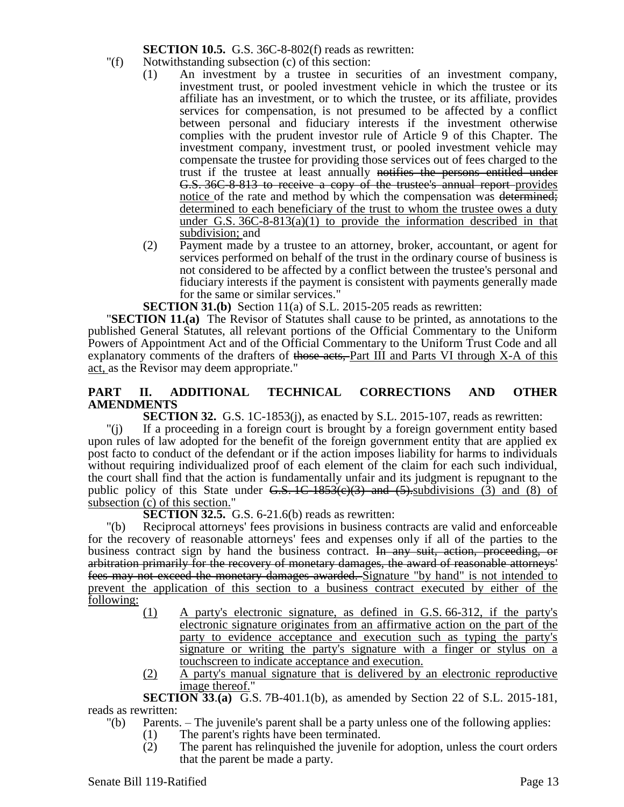**SECTION 10.5.** G.S. 36C-8-802(f) reads as rewritten:

- "(f) Notwithstanding subsection (c) of this section:
	- (1) An investment by a trustee in securities of an investment company, investment trust, or pooled investment vehicle in which the trustee or its affiliate has an investment, or to which the trustee, or its affiliate, provides services for compensation, is not presumed to be affected by a conflict between personal and fiduciary interests if the investment otherwise complies with the prudent investor rule of Article 9 of this Chapter. The investment company, investment trust, or pooled investment vehicle may compensate the trustee for providing those services out of fees charged to the trust if the trustee at least annually notifies the persons entitled under G.S. 36C-8-813 to receive a copy of the trustee's annual report provides notice of the rate and method by which the compensation was determined; determined to each beneficiary of the trust to whom the trustee owes a duty under G.S.  $36C-8-813(a)(1)$  to provide the information described in that subdivision; and
	- (2) Payment made by a trustee to an attorney, broker, accountant, or agent for services performed on behalf of the trust in the ordinary course of business is not considered to be affected by a conflict between the trustee's personal and fiduciary interests if the payment is consistent with payments generally made for the same or similar services."

**SECTION 31.(b)** Section 11(a) of S.L. 2015-205 reads as rewritten:

"**SECTION 11.(a)** The Revisor of Statutes shall cause to be printed, as annotations to the published General Statutes, all relevant portions of the Official Commentary to the Uniform Powers of Appointment Act and of the Official Commentary to the Uniform Trust Code and all explanatory comments of the drafters of those acts, Part III and Parts VI through X-A of this act, as the Revisor may deem appropriate."

# **PART II. ADDITIONAL TECHNICAL CORRECTIONS AND OTHER AMENDMENTS**

**SECTION 32.** G.S. 1C-1853(j), as enacted by S.L. 2015-107, reads as rewritten:

"(j) If a proceeding in a foreign court is brought by a foreign government entity based upon rules of law adopted for the benefit of the foreign government entity that are applied ex post facto to conduct of the defendant or if the action imposes liability for harms to individuals without requiring individualized proof of each element of the claim for each such individual, the court shall find that the action is fundamentally unfair and its judgment is repugnant to the public policy of this State under  $\overline{G.S.}$  1C-1853( $\overline{e}(3)$ ) and  $\overline{f}(5)$ . subdivisions (3) and (8) of subsection (c) of this section."

**SECTION 32.5.** G.S. 6-21.6(b) reads as rewritten:

"(b) Reciprocal attorneys' fees provisions in business contracts are valid and enforceable for the recovery of reasonable attorneys' fees and expenses only if all of the parties to the business contract sign by hand the business contract. In any suit, action, proceeding, or arbitration primarily for the recovery of monetary damages, the award of reasonable attorneys' fees may not exceed the monetary damages awarded. Signature "by hand" is not intended to prevent the application of this section to a business contract executed by either of the following:

- (1) A party's electronic signature, as defined in G.S. 66-312, if the party's electronic signature originates from an affirmative action on the part of the party to evidence acceptance and execution such as typing the party's signature or writing the party's signature with a finger or stylus on a touchscreen to indicate acceptance and execution.
- (2) A party's manual signature that is delivered by an electronic reproductive image thereof."

**SECTION 33**.**(a)** G.S. 7B-401.1(b), as amended by Section 22 of S.L. 2015-181, reads as rewritten:

- "(b) Parents. The juvenile's parent shall be a party unless one of the following applies:
	- (1) The parent's rights have been terminated.
		- (2) The parent has relinquished the juvenile for adoption, unless the court orders that the parent be made a party.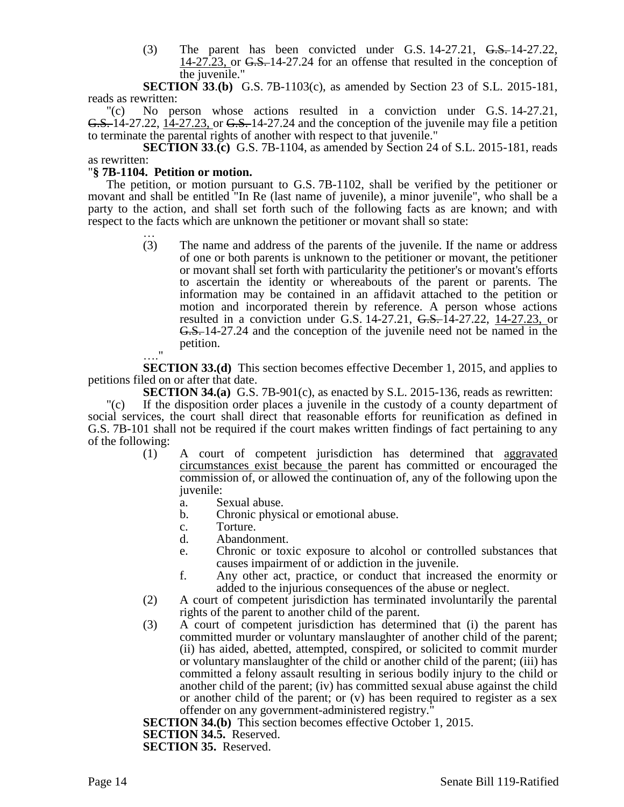(3) The parent has been convicted under G.S. 14-27.21, G.S. 14-27.22, 14-27.23, or <del>G.S.</del> 14-27.24 for an offense that resulted in the conception of the juvenile."

**SECTION 33**.**(b)** G.S. 7B-1103(c), as amended by Section 23 of S.L. 2015-181, reads as rewritten:

"(c) No person whose actions resulted in a conviction under G.S. 14-27.21, G.S. 14-27.22, 14-27.23, or G.S. 14-27.24 and the conception of the juvenile may file a petition to terminate the parental rights of another with respect to that juvenile."

**SECTION 33**.**(c)** G.S. 7B-1104, as amended by Section 24 of S.L. 2015-181, reads as rewritten:

## "**§ 7B-1104. Petition or motion.**

The petition, or motion pursuant to G.S. 7B-1102, shall be verified by the petitioner or movant and shall be entitled "In Re (last name of juvenile), a minor juvenile", who shall be a party to the action, and shall set forth such of the following facts as are known; and with respect to the facts which are unknown the petitioner or movant shall so state:

> … (3) The name and address of the parents of the juvenile. If the name or address of one or both parents is unknown to the petitioner or movant, the petitioner or movant shall set forth with particularity the petitioner's or movant's efforts to ascertain the identity or whereabouts of the parent or parents. The information may be contained in an affidavit attached to the petition or motion and incorporated therein by reference. A person whose actions resulted in a conviction under G.S. 14-27.21, G.S. 14-27.22, 14-27.23, or G.S. 14-27.24 and the conception of the juvenile need not be named in the petition.

…." **SECTION 33.(d)** This section becomes effective December 1, 2015, and applies to petitions filed on or after that date.

**SECTION 34.(a)** G.S. 7B-901(c), as enacted by S.L. 2015-136, reads as rewritten:

"(c) If the disposition order places a juvenile in the custody of a county department of social services, the court shall direct that reasonable efforts for reunification as defined in G.S. 7B-101 shall not be required if the court makes written findings of fact pertaining to any of the following:

- (1) A court of competent jurisdiction has determined that aggravated circumstances exist because the parent has committed or encouraged the commission of, or allowed the continuation of, any of the following upon the juvenile:
	- a. Sexual abuse.
	- b. Chronic physical or emotional abuse.
	- c. Torture.
	- d. Abandonment.
	- e. Chronic or toxic exposure to alcohol or controlled substances that causes impairment of or addiction in the juvenile.
	- f. Any other act, practice, or conduct that increased the enormity or added to the injurious consequences of the abuse or neglect.
- (2) A court of competent jurisdiction has terminated involuntarily the parental rights of the parent to another child of the parent.
- (3) A court of competent jurisdiction has determined that (i) the parent has committed murder or voluntary manslaughter of another child of the parent; (ii) has aided, abetted, attempted, conspired, or solicited to commit murder or voluntary manslaughter of the child or another child of the parent; (iii) has committed a felony assault resulting in serious bodily injury to the child or another child of the parent; (iv) has committed sexual abuse against the child or another child of the parent; or (v) has been required to register as a sex offender on any government-administered registry."

**SECTION 34.(b)** This section becomes effective October 1, 2015. **SECTION 34.5.** Reserved. **SECTION 35.** Reserved.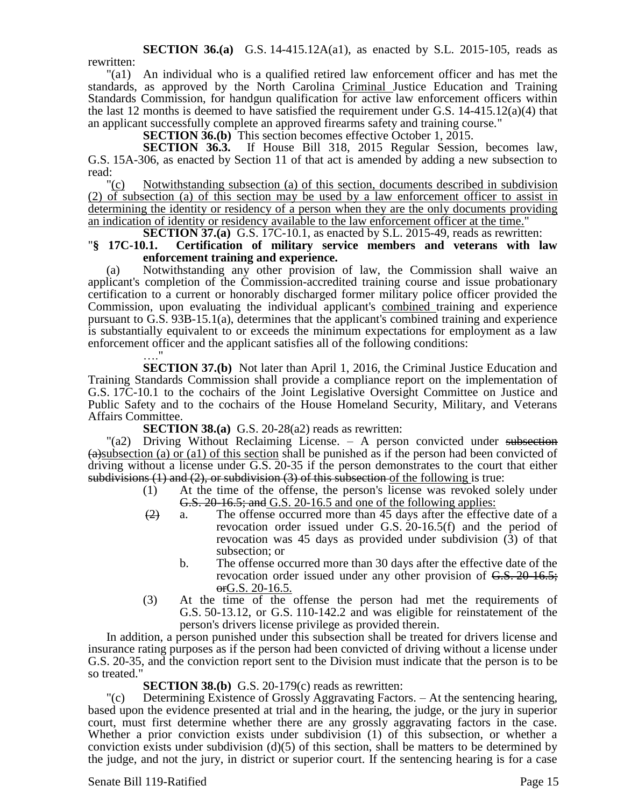**SECTION 36.(a)** G.S. 14-415.12A(a1), as enacted by S.L. 2015-105, reads as

rewritten:

"(a1) An individual who is a qualified retired law enforcement officer and has met the standards, as approved by the North Carolina Criminal Justice Education and Training Standards Commission, for handgun qualification for active law enforcement officers within the last 12 months is deemed to have satisfied the requirement under G.S.  $14-415.12(a)(4)$  that an applicant successfully complete an approved firearms safety and training course."

**SECTION 36.(b)** This section becomes effective October 1, 2015.

**SECTION 36.3.** If House Bill 318, 2015 Regular Session, becomes law, G.S. 15A-306, as enacted by Section 11 of that act is amended by adding a new subsection to read:  $"(c)$ 

Notwithstanding subsection (a) of this section, documents described in subdivision (2) of subsection (a) of this section may be used by a law enforcement officer to assist in determining the identity or residency of a person when they are the only documents providing an indication of identity or residency available to the law enforcement officer at the time."

**SECTION 37.(a)** G.S. 17C-10.1, as enacted by S.L. 2015-49, reads as rewritten: "**§ 17C-10.1. Certification of military service members and veterans with law enforcement training and experience.**

(a) Notwithstanding any other provision of law, the Commission shall waive an applicant's completion of the Commission-accredited training course and issue probationary certification to a current or honorably discharged former military police officer provided the Commission, upon evaluating the individual applicant's combined training and experience pursuant to G.S. 93B-15.1(a), determines that the applicant's combined training and experience is substantially equivalent to or exceeds the minimum expectations for employment as a law enforcement officer and the applicant satisfies all of the following conditions:

…" **SECTION 37.(b)** Not later than April 1, 2016, the Criminal Justice Education and Training Standards Commission shall provide a compliance report on the implementation of G.S. 17C-10.1 to the cochairs of the Joint Legislative Oversight Committee on Justice and Public Safety and to the cochairs of the House Homeland Security, Military, and Veterans Affairs Committee.

**SECTION 38.(a)** G.S. 20-28(a2) reads as rewritten:

"(a2) Driving Without Reclaiming License. – A person convicted under subsection  $(a)$ subsection (a) or (a1) of this section shall be punished as if the person had been convicted of driving without a license under G.S. 20-35 if the person demonstrates to the court that either subdivisions  $(1)$  and  $(2)$ , or subdivision  $(3)$  of this subsection of the following is true:

- (1) At the time of the offense, the person's license was revoked solely under G.S. 20-16.5; and G.S. 20-16.5 and one of the following applies:
- $\left( \frac{2}{2} \right)$  a. The offense occurred more than 45 days after the effective date of a revocation order issued under G.S. 20-16.5(f) and the period of revocation was 45 days as provided under subdivision  $(\bar{3})$  of that subsection; or
	- b. The offense occurred more than 30 days after the effective date of the revocation order issued under any other provision of G.S. 20-16.5; orG.S. 20-16.5.
- (3) At the time of the offense the person had met the requirements of G.S. 50-13.12, or G.S. 110-142.2 and was eligible for reinstatement of the person's drivers license privilege as provided therein.

In addition, a person punished under this subsection shall be treated for drivers license and insurance rating purposes as if the person had been convicted of driving without a license under G.S. 20-35, and the conviction report sent to the Division must indicate that the person is to be so treated."

### **SECTION 38.(b)** G.S. 20-179(c) reads as rewritten:

"(c) Determining Existence of Grossly Aggravating Factors. – At the sentencing hearing, based upon the evidence presented at trial and in the hearing, the judge, or the jury in superior court, must first determine whether there are any grossly aggravating factors in the case. Whether a prior conviction exists under subdivision (1) of this subsection, or whether a conviction exists under subdivision  $(d)(5)$  of this section, shall be matters to be determined by the judge, and not the jury, in district or superior court. If the sentencing hearing is for a case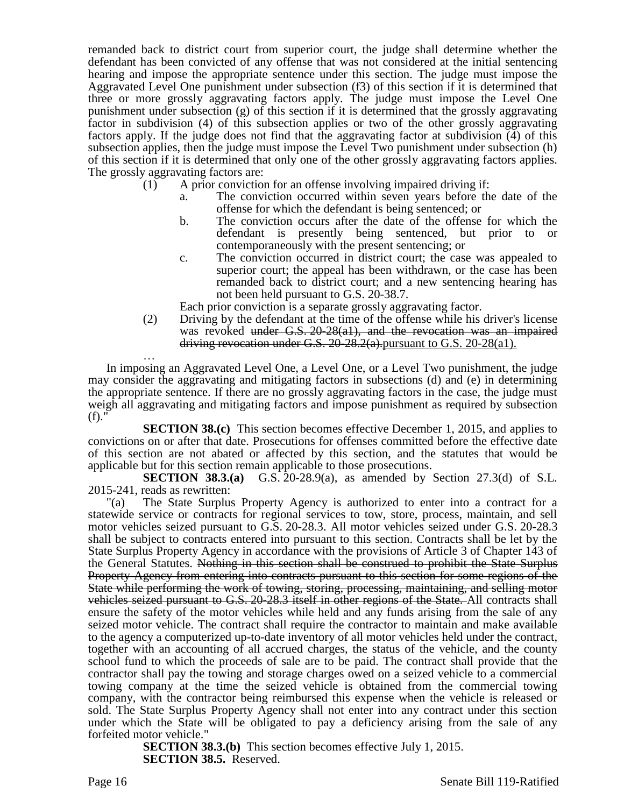remanded back to district court from superior court, the judge shall determine whether the defendant has been convicted of any offense that was not considered at the initial sentencing hearing and impose the appropriate sentence under this section. The judge must impose the Aggravated Level One punishment under subsection (f3) of this section if it is determined that three or more grossly aggravating factors apply. The judge must impose the Level One punishment under subsection (g) of this section if it is determined that the grossly aggravating factor in subdivision (4) of this subsection applies or two of the other grossly aggravating factors apply. If the judge does not find that the aggravating factor at subdivision (4) of this subsection applies, then the judge must impose the Level Two punishment under subsection (h) of this section if it is determined that only one of the other grossly aggravating factors applies. The grossly aggravating factors are:

- $(1)$  A prior conviction for an offense involving impaired driving if:
	- a. The conviction occurred within seven years before the date of the offense for which the defendant is being sentenced; or
	- b. The conviction occurs after the date of the offense for which the defendant is presently being sentenced, but prior to or contemporaneously with the present sentencing; or
	- c. The conviction occurred in district court; the case was appealed to superior court; the appeal has been withdrawn, or the case has been remanded back to district court; and a new sentencing hearing has not been held pursuant to G.S. 20-38.7.

Each prior conviction is a separate grossly aggravating factor.

(2) Driving by the defendant at the time of the offense while his driver's license was revoked under G.S. 20-28(a1), and the revocation was an impaired driving revocation under G.S.  $20-28.2(a)$ , pursuant to G.S. 20-28(a1).

… In imposing an Aggravated Level One, a Level One, or a Level Two punishment, the judge may consider the aggravating and mitigating factors in subsections (d) and (e) in determining the appropriate sentence. If there are no grossly aggravating factors in the case, the judge must weigh all aggravating and mitigating factors and impose punishment as required by subsection (f)."

**SECTION 38.(c)** This section becomes effective December 1, 2015, and applies to convictions on or after that date. Prosecutions for offenses committed before the effective date of this section are not abated or affected by this section, and the statutes that would be applicable but for this section remain applicable to those prosecutions.

**SECTION 38.3.(a)** G.S. 20-28.9(a), as amended by Section 27.3(d) of S.L. 2015-241, reads as rewritten:

"(a) The State Surplus Property Agency is authorized to enter into a contract for a statewide service or contracts for regional services to tow, store, process, maintain, and sell motor vehicles seized pursuant to G.S. 20-28.3. All motor vehicles seized under G.S. 20-28.3 shall be subject to contracts entered into pursuant to this section. Contracts shall be let by the State Surplus Property Agency in accordance with the provisions of Article 3 of Chapter 143 of the General Statutes. Nothing in this section shall be construed to prohibit the State Surplus Property Agency from entering into contracts pursuant to this section for some regions of the State while performing the work of towing, storing, processing, maintaining, and selling motor vehicles seized pursuant to G.S. 20-28.3 itself in other regions of the State. All contracts shall ensure the safety of the motor vehicles while held and any funds arising from the sale of any seized motor vehicle. The contract shall require the contractor to maintain and make available to the agency a computerized up-to-date inventory of all motor vehicles held under the contract, together with an accounting of all accrued charges, the status of the vehicle, and the county school fund to which the proceeds of sale are to be paid. The contract shall provide that the contractor shall pay the towing and storage charges owed on a seized vehicle to a commercial towing company at the time the seized vehicle is obtained from the commercial towing company, with the contractor being reimbursed this expense when the vehicle is released or sold. The State Surplus Property Agency shall not enter into any contract under this section under which the State will be obligated to pay a deficiency arising from the sale of any forfeited motor vehicle."

**SECTION 38.3.(b)** This section becomes effective July 1, 2015. **SECTION 38.5.** Reserved.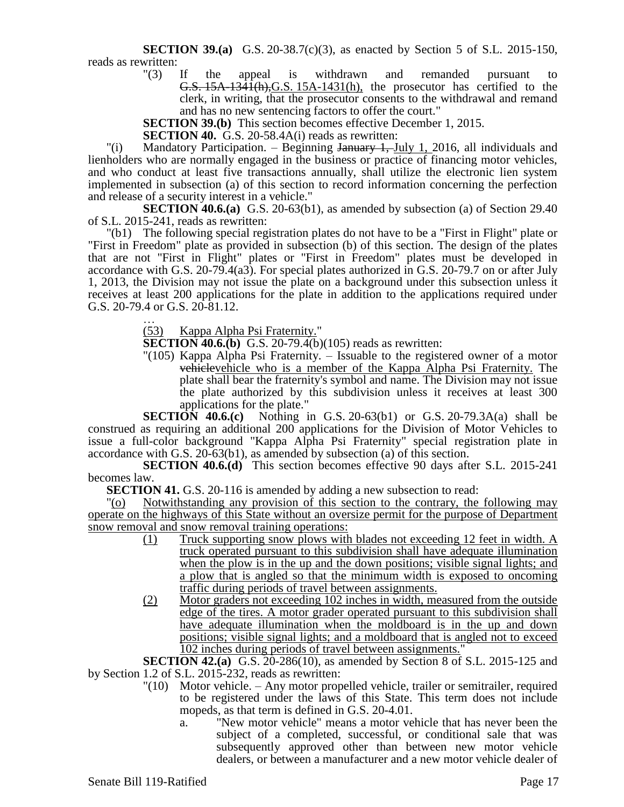**SECTION 39.(a)** G.S. 20-38.7(c)(3), as enacted by Section 5 of S.L. 2015-150, reads as rewritten:<br> $"(3)$ 

If the appeal is withdrawn and remanded pursuant to G.S. 15A-1341(h),G.S. 15A-1431(h), the prosecutor has certified to the clerk, in writing, that the prosecutor consents to the withdrawal and remand and has no new sentencing factors to offer the court."

**SECTION 39.(b)** This section becomes effective December 1, 2015.

**SECTION 40.** G.S. 20-58.4A(i) reads as rewritten:

"(i) Mandatory Participation. – Beginning January 1, July 1, 2016, all individuals and lienholders who are normally engaged in the business or practice of financing motor vehicles, and who conduct at least five transactions annually, shall utilize the electronic lien system implemented in subsection (a) of this section to record information concerning the perfection and release of a security interest in a vehicle."

**SECTION 40.6.(a)** G.S. 20-63(b1), as amended by subsection (a) of Section 29.40 of S.L. 2015-241, reads as rewritten:

"(b1) The following special registration plates do not have to be a "First in Flight" plate or "First in Freedom" plate as provided in subsection (b) of this section. The design of the plates that are not "First in Flight" plates or "First in Freedom" plates must be developed in accordance with G.S. 20-79.4(a3). For special plates authorized in G.S. 20-79.7 on or after July 1, 2013, the Division may not issue the plate on a background under this subsection unless it receives at least 200 applications for the plate in addition to the applications required under G.S. 20-79.4 or G.S. 20-81.12.

… (53) Kappa Alpha Psi Fraternity."

**SECTION 40.6.(b)** G.S. 20-79.4(b)(105) reads as rewritten:

"(105) Kappa Alpha Psi Fraternity. – Issuable to the registered owner of a motor vehiclevehicle who is a member of the Kappa Alpha Psi Fraternity. The plate shall bear the fraternity's symbol and name. The Division may not issue the plate authorized by this subdivision unless it receives at least 300 applications for the plate."

**SECTION 40.6.(c)** Nothing in G.S. 20-63(b1) or G.S. 20-79.3A(a) shall be construed as requiring an additional 200 applications for the Division of Motor Vehicles to issue a full-color background "Kappa Alpha Psi Fraternity" special registration plate in accordance with G.S. 20-63(b1), as amended by subsection (a) of this section.

**SECTION 40.6.(d)** This section becomes effective 90 days after S.L. 2015-241 becomes law.

**SECTION 41.** G.S. 20-116 is amended by adding a new subsection to read:

"(o) Notwithstanding any provision of this section to the contrary, the following may operate on the highways of this State without an oversize permit for the purpose of Department snow removal and snow removal training operations:

- (1) Truck supporting snow plows with blades not exceeding 12 feet in width. A truck operated pursuant to this subdivision shall have adequate illumination when the plow is in the up and the down positions; visible signal lights; and a plow that is angled so that the minimum width is exposed to oncoming traffic during periods of travel between assignments.
- (2) Motor graders not exceeding 102 inches in width, measured from the outside edge of the tires. A motor grader operated pursuant to this subdivision shall have adequate illumination when the moldboard is in the up and down positions; visible signal lights; and a moldboard that is angled not to exceed 102 inches during periods of travel between assignments."

**SECTION 42.(a)** G.S. 20-286(10), as amended by Section 8 of S.L. 2015-125 and by Section 1.2 of S.L. 2015-232, reads as rewritten:

- "(10) Motor vehicle. Any motor propelled vehicle, trailer or semitrailer, required to be registered under the laws of this State. This term does not include mopeds, as that term is defined in G.S. 20-4.01.
	- a. "New motor vehicle" means a motor vehicle that has never been the subject of a completed, successful, or conditional sale that was subsequently approved other than between new motor vehicle dealers, or between a manufacturer and a new motor vehicle dealer of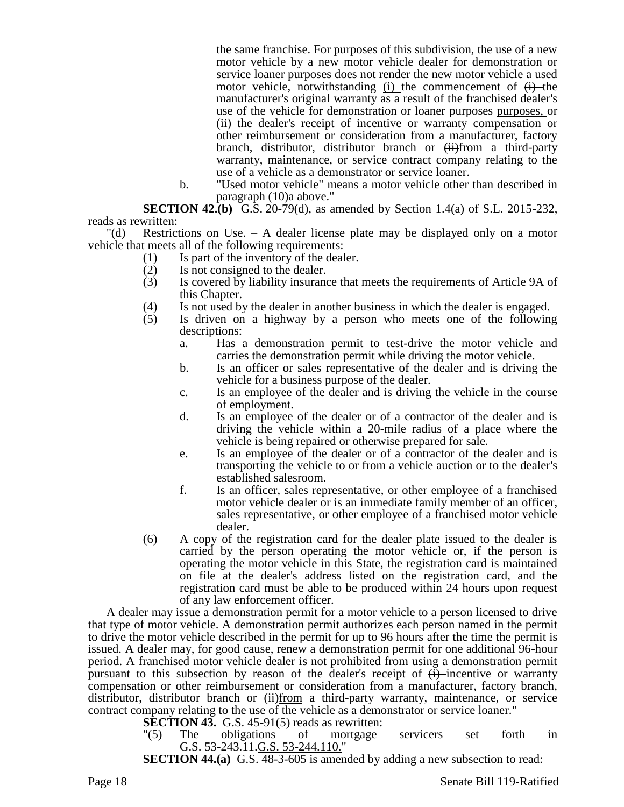the same franchise. For purposes of this subdivision, the use of a new motor vehicle by a new motor vehicle dealer for demonstration or service loaner purposes does not render the new motor vehicle a used motor vehicle, notwithstanding (i) the commencement of  $\overrightarrow{H}$  the manufacturer's original warranty as a result of the franchised dealer's use of the vehicle for demonstration or loaner purposes-purposes, or (ii) the dealer's receipt of incentive or warranty compensation or other reimbursement or consideration from a manufacturer, factory branch, distributor, distributor branch or  $\overrightarrow{H}$  (ii)from a third-party warranty, maintenance, or service contract company relating to the use of a vehicle as a demonstrator or service loaner.

b. "Used motor vehicle" means a motor vehicle other than described in paragraph (10)a above."

**SECTION 42.(b)** G.S. 20-79(d), as amended by Section 1.4(a) of S.L. 2015-232, reads as rewritten:

"(d) Restrictions on Use. – A dealer license plate may be displayed only on a motor vehicle that meets all of the following requirements:

- (1) Is part of the inventory of the dealer.<br>(2) Is not consigned to the dealer.
- Is not consigned to the dealer.
- (3) Is covered by liability insurance that meets the requirements of Article 9A of this Chapter.
- 
- (4) Is not used by the dealer in another business in which the dealer is engaged.<br>(5) Is driven on a highway by a person who meets one of the followin Is driven on a highway by a person who meets one of the following descriptions:
	- a. Has a demonstration permit to test-drive the motor vehicle and carries the demonstration permit while driving the motor vehicle.
	- b. Is an officer or sales representative of the dealer and is driving the vehicle for a business purpose of the dealer.
	- c. Is an employee of the dealer and is driving the vehicle in the course of employment.
	- d. Is an employee of the dealer or of a contractor of the dealer and is driving the vehicle within a 20-mile radius of a place where the vehicle is being repaired or otherwise prepared for sale.
	- e. Is an employee of the dealer or of a contractor of the dealer and is transporting the vehicle to or from a vehicle auction or to the dealer's established salesroom.
	- f. Is an officer, sales representative, or other employee of a franchised motor vehicle dealer or is an immediate family member of an officer, sales representative, or other employee of a franchised motor vehicle dealer.
- (6) A copy of the registration card for the dealer plate issued to the dealer is carried by the person operating the motor vehicle or, if the person is operating the motor vehicle in this State, the registration card is maintained on file at the dealer's address listed on the registration card, and the registration card must be able to be produced within 24 hours upon request of any law enforcement officer.

A dealer may issue a demonstration permit for a motor vehicle to a person licensed to drive that type of motor vehicle. A demonstration permit authorizes each person named in the permit to drive the motor vehicle described in the permit for up to 96 hours after the time the permit is issued. A dealer may, for good cause, renew a demonstration permit for one additional 96-hour period. A franchised motor vehicle dealer is not prohibited from using a demonstration permit pursuant to this subsection by reason of the dealer's receipt of  $\leftrightarrow$  incentive or warranty compensation or other reimbursement or consideration from a manufacturer, factory branch, distributor, distributor branch or  $\frac{1}{1+\frac{1}{2}}$  a third-party warranty, maintenance, or service contract company relating to the use of the vehicle as a demonstrator or service loaner."

**SECTION 43.** G.S. 45-91(5) reads as rewritten:

"(5) The obligations of mortgage servicers set forth in G.S. 53-243.11. G.S. 53-244.110."

**SECTION 44.(a)** G.S. 48-3-605 is amended by adding a new subsection to read:

Page 18 Senate Bill 119-Ratified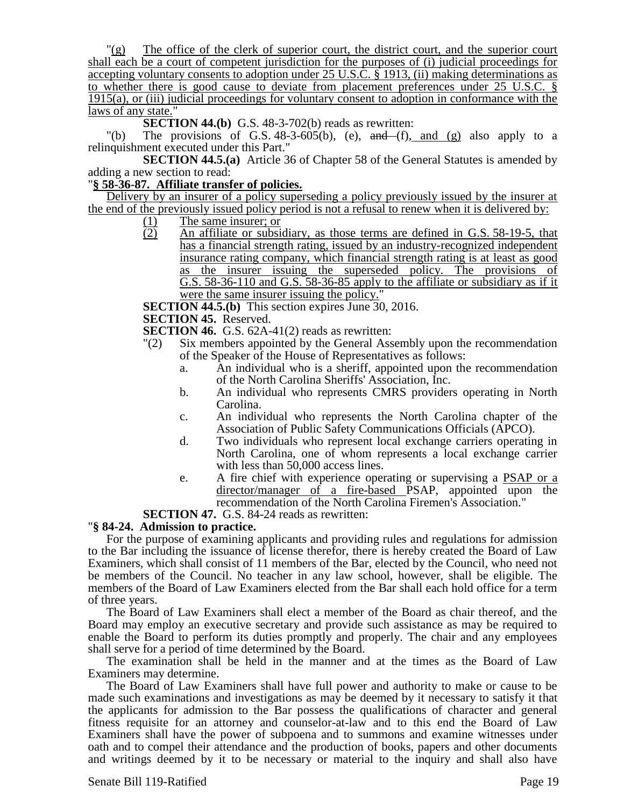$\Gamma(g)$  The office of the clerk of superior court, the district court, and the superior court shall each be a court of competent jurisdiction for the purposes of (i) judicial proceedings for accepting voluntary consents to adoption under 25 U.S.C. § 1913, (ii) making determinations as to whether there is good cause to deviate from placement preferences under 25 U.S.C. § 1915(a), or (iii) judicial proceedings for voluntary consent to adoption in conformance with the laws of any state."

**SECTION 44.(b)** G.S. 48-3-702(b) reads as rewritten:

"(b) The provisions of G.S.  $48-3-605(b)$ , (e), and  $(f)$ , and (g) also apply to a relinquishment executed under this Part."

**SECTION 44.5.(a)** Article 36 of Chapter 58 of the General Statutes is amended by adding a new section to read:

## "**§ 58-36-87. Affiliate transfer of policies.**

Delivery by an insurer of a policy superseding a policy previously issued by the insurer at the end of the previously issued policy period is not a refusal to renew when it is delivered by:

- $\frac{(1)}{(2)}$  The same insurer; or<br>An affiliate or subsi-
- An affiliate or subsidiary, as those terms are defined in G.S. 58-19-5, that has a financial strength rating, issued by an industry-recognized independent insurance rating company, which financial strength rating is at least as good as the insurer issuing the superseded policy. The provisions of G.S. 58-36-110 and G.S. 58-36-85 apply to the affiliate or subsidiary as if it were the same insurer issuing the policy."

**SECTION 44.5.(b)** This section expires June 30, 2016.

**SECTION 45.** Reserved.

**SECTION 46.** G.S. 62A-41(2) reads as rewritten:

- "(2) Six members appointed by the General Assembly upon the recommendation of the Speaker of the House of Representatives as follows:
	- a. An individual who is a sheriff, appointed upon the recommendation of the North Carolina Sheriffs' Association, Inc.
	- b. An individual who represents CMRS providers operating in North Carolina.
	- c. An individual who represents the North Carolina chapter of the Association of Public Safety Communications Officials (APCO).
	- d. Two individuals who represent local exchange carriers operating in North Carolina, one of whom represents a local exchange carrier with less than 50,000 access lines.
	- e. A fire chief with experience operating or supervising a PSAP or a director/manager of a fire-based PSAP, appointed upon the recommendation of the North Carolina Firemen's Association."

**SECTION 47.** G.S. 84-24 reads as rewritten:

### "**§ 84-24. Admission to practice.**

For the purpose of examining applicants and providing rules and regulations for admission to the Bar including the issuance of license therefor, there is hereby created the Board of Law Examiners, which shall consist of 11 members of the Bar, elected by the Council, who need not be members of the Council. No teacher in any law school, however, shall be eligible. The members of the Board of Law Examiners elected from the Bar shall each hold office for a term of three years.

The Board of Law Examiners shall elect a member of the Board as chair thereof, and the Board may employ an executive secretary and provide such assistance as may be required to enable the Board to perform its duties promptly and properly. The chair and any employees shall serve for a period of time determined by the Board.

The examination shall be held in the manner and at the times as the Board of Law Examiners may determine.

The Board of Law Examiners shall have full power and authority to make or cause to be made such examinations and investigations as may be deemed by it necessary to satisfy it that the applicants for admission to the Bar possess the qualifications of character and general fitness requisite for an attorney and counselor-at-law and to this end the Board of Law Examiners shall have the power of subpoena and to summons and examine witnesses under oath and to compel their attendance and the production of books, papers and other documents and writings deemed by it to be necessary or material to the inquiry and shall also have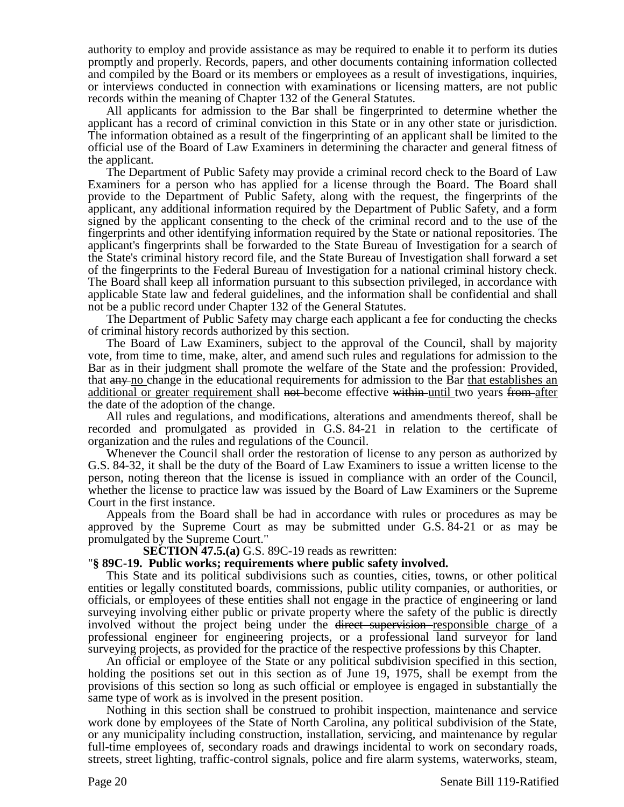authority to employ and provide assistance as may be required to enable it to perform its duties promptly and properly. Records, papers, and other documents containing information collected and compiled by the Board or its members or employees as a result of investigations, inquiries, or interviews conducted in connection with examinations or licensing matters, are not public records within the meaning of Chapter 132 of the General Statutes.

All applicants for admission to the Bar shall be fingerprinted to determine whether the applicant has a record of criminal conviction in this State or in any other state or jurisdiction. The information obtained as a result of the fingerprinting of an applicant shall be limited to the official use of the Board of Law Examiners in determining the character and general fitness of the applicant.

The Department of Public Safety may provide a criminal record check to the Board of Law Examiners for a person who has applied for a license through the Board. The Board shall provide to the Department of Public Safety, along with the request, the fingerprints of the applicant, any additional information required by the Department of Public Safety, and a form signed by the applicant consenting to the check of the criminal record and to the use of the fingerprints and other identifying information required by the State or national repositories. The applicant's fingerprints shall be forwarded to the State Bureau of Investigation for a search of the State's criminal history record file, and the State Bureau of Investigation shall forward a set of the fingerprints to the Federal Bureau of Investigation for a national criminal history check. The Board shall keep all information pursuant to this subsection privileged, in accordance with applicable State law and federal guidelines, and the information shall be confidential and shall not be a public record under Chapter 132 of the General Statutes.

The Department of Public Safety may charge each applicant a fee for conducting the checks of criminal history records authorized by this section.

The Board of Law Examiners, subject to the approval of the Council, shall by majority vote, from time to time, make, alter, and amend such rules and regulations for admission to the Bar as in their judgment shall promote the welfare of the State and the profession: Provided, that any no change in the educational requirements for admission to the Bar that establishes an additional or greater requirement shall not-become effective within until two years from after the date of the adoption of the change.

All rules and regulations, and modifications, alterations and amendments thereof, shall be recorded and promulgated as provided in G.S. 84-21 in relation to the certificate of organization and the rules and regulations of the Council.

Whenever the Council shall order the restoration of license to any person as authorized by G.S. 84-32, it shall be the duty of the Board of Law Examiners to issue a written license to the person, noting thereon that the license is issued in compliance with an order of the Council, whether the license to practice law was issued by the Board of Law Examiners or the Supreme Court in the first instance.

Appeals from the Board shall be had in accordance with rules or procedures as may be approved by the Supreme Court as may be submitted under G.S. 84-21 or as may be promulgated by the Supreme Court."

**SECTION 47.5.(a)** G.S. 89C-19 reads as rewritten:

#### "**§ 89C-19. Public works; requirements where public safety involved.**

This State and its political subdivisions such as counties, cities, towns, or other political entities or legally constituted boards, commissions, public utility companies, or authorities, or officials, or employees of these entities shall not engage in the practice of engineering or land surveying involving either public or private property where the safety of the public is directly involved without the project being under the direct supervision responsible charge of a professional engineer for engineering projects, or a professional land surveyor for land surveying projects, as provided for the practice of the respective professions by this Chapter.

An official or employee of the State or any political subdivision specified in this section, holding the positions set out in this section as of June 19, 1975, shall be exempt from the provisions of this section so long as such official or employee is engaged in substantially the same type of work as is involved in the present position.

Nothing in this section shall be construed to prohibit inspection, maintenance and service work done by employees of the State of North Carolina, any political subdivision of the State, or any municipality including construction, installation, servicing, and maintenance by regular full-time employees of, secondary roads and drawings incidental to work on secondary roads, streets, street lighting, traffic-control signals, police and fire alarm systems, waterworks, steam,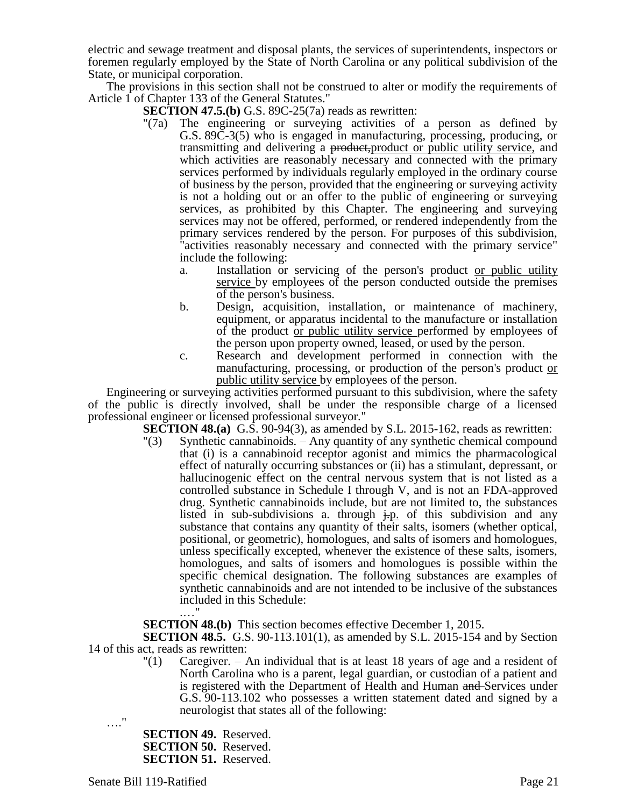electric and sewage treatment and disposal plants, the services of superintendents, inspectors or foremen regularly employed by the State of North Carolina or any political subdivision of the State, or municipal corporation.

The provisions in this section shall not be construed to alter or modify the requirements of Article 1 of Chapter 133 of the General Statutes."

- **SECTION 47.5.(b)** G.S. 89C-25(7a) reads as rewritten:
- "(7a) The engineering or surveying activities of a person as defined by G.S. 89C-3(5) who is engaged in manufacturing, processing, producing, or transmitting and delivering a <del>product,</del>product or public utility service, and which activities are reasonably necessary and connected with the primary services performed by individuals regularly employed in the ordinary course of business by the person, provided that the engineering or surveying activity is not a holding out or an offer to the public of engineering or surveying services, as prohibited by this Chapter. The engineering and surveying services may not be offered, performed, or rendered independently from the primary services rendered by the person. For purposes of this subdivision, "activities reasonably necessary and connected with the primary service" include the following:
	- a. Installation or servicing of the person's product or public utility service by employees of the person conducted outside the premises of the person's business.
	- b. Design, acquisition, installation, or maintenance of machinery, equipment, or apparatus incidental to the manufacture or installation of the product or public utility service performed by employees of the person upon property owned, leased, or used by the person.
	- c. Research and development performed in connection with the manufacturing, processing, or production of the person's product or public utility service by employees of the person.

Engineering or surveying activities performed pursuant to this subdivision, where the safety of the public is directly involved, shall be under the responsible charge of a licensed professional engineer or licensed professional surveyor."

**SECTION 48.(a)** G.S. 90-94(3), as amended by S.L. 2015-162, reads as rewritten:

"(3) Synthetic cannabinoids. – Any quantity of any synthetic chemical compound that (i) is a cannabinoid receptor agonist and mimics the pharmacological effect of naturally occurring substances or (ii) has a stimulant, depressant, or hallucinogenic effect on the central nervous system that is not listed as a controlled substance in Schedule I through V, and is not an FDA-approved drug. Synthetic cannabinoids include, but are not limited to, the substances listed in sub-subdivisions a. through  $\frac{1}{2}$  find the subdivision and any substance that contains any quantity of their salts, isomers (whether optical, positional, or geometric), homologues, and salts of isomers and homologues, unless specifically excepted, whenever the existence of these salts, isomers, homologues, and salts of isomers and homologues is possible within the specific chemical designation. The following substances are examples of synthetic cannabinoids and are not intended to be inclusive of the substances included in this Schedule: .…"

**SECTION 48.(b)** This section becomes effective December 1, 2015.

**SECTION 48.5.** G.S. 90-113.101(1), as amended by S.L. 2015-154 and by Section 14 of this act, reads as rewritten:

> "(1) Caregiver. – An individual that is at least 18 years of age and a resident of North Carolina who is a parent, legal guardian, or custodian of a patient and is registered with the Department of Health and Human and Services under G.S. 90-113.102 who possesses a written statement dated and signed by a neurologist that states all of the following:

…."

**SECTION 49.** Reserved. **SECTION 50.** Reserved. **SECTION 51.** Reserved.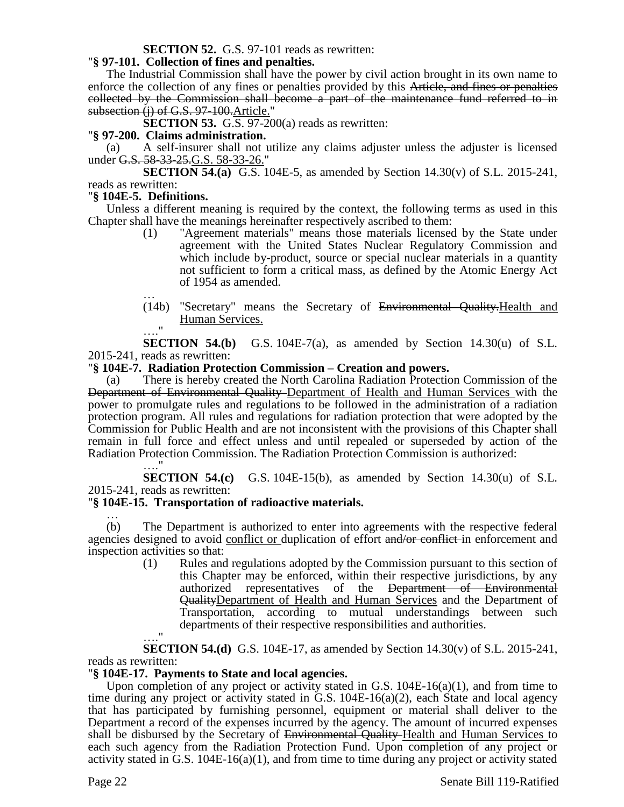## **SECTION 52.** G.S. 97-101 reads as rewritten:

#### "**§ 97-101. Collection of fines and penalties.**

The Industrial Commission shall have the power by civil action brought in its own name to enforce the collection of any fines or penalties provided by this Article, and fines or penalties collected by the Commission shall become a part of the maintenance fund referred to in subsection (j) of G.S. 97-100. Article."

**SECTION 53.** G.S. 97-200(a) reads as rewritten:

#### "**§ 97-200. Claims administration.**

(a) A self-insurer shall not utilize any claims adjuster unless the adjuster is licensed under G.S. 58-33-25.G.S. 58-33-26."

**SECTION 54.(a)** G.S. 104E-5, as amended by Section 14.30(v) of S.L. 2015-241, reads as rewritten:

### "**§ 104E-5. Definitions.**

".<br>. . . . .

Unless a different meaning is required by the context, the following terms as used in this Chapter shall have the meanings hereinafter respectively ascribed to them:

- (1) "Agreement materials" means those materials licensed by the State under agreement with the United States Nuclear Regulatory Commission and which include by-product, source or special nuclear materials in a quantity not sufficient to form a critical mass, as defined by the Atomic Energy Act of 1954 as amended.
- … (14b) "Secretary" means the Secretary of Environmental Quality.Health and Human Services.  $^{\bullet}$

**SECTION 54.(b)** G.S. 104E-7(a), as amended by Section  $14.30(u)$  of S.L. 2015-241, reads as rewritten:

#### "**§ 104E-7. Radiation Protection Commission – Creation and powers.**

(a) There is hereby created the North Carolina Radiation Protection Commission of the Department of Environmental Quality Department of Health and Human Services with the power to promulgate rules and regulations to be followed in the administration of a radiation protection program. All rules and regulations for radiation protection that were adopted by the Commission for Public Health and are not inconsistent with the provisions of this Chapter shall remain in full force and effect unless and until repealed or superseded by action of the Radiation Protection Commission. The Radiation Protection Commission is authorized:

**SECTION 54.(c)** G.S. 104E-15(b), as amended by Section 14.30(u) of S.L. 2015-241, reads as rewritten:

### "**§ 104E-15. Transportation of radioactive materials.**

… (b) The Department is authorized to enter into agreements with the respective federal agencies designed to avoid conflict or duplication of effort and/or conflict in enforcement and inspection activities so that:

(1) Rules and regulations adopted by the Commission pursuant to this section of this Chapter may be enforced, within their respective jurisdictions, by any authorized representatives of the Department of Environmental QualityDepartment of Health and Human Services and the Department of Transportation, according to mutual understandings between such departments of their respective responsibilities and authorities. …."

**SECTION 54.(d)** G.S. 104E-17, as amended by Section 14.30(v) of S.L. 2015-241, reads as rewritten:

### "**§ 104E-17. Payments to State and local agencies.**

Upon completion of any project or activity stated in G.S.  $104E-16(a)(1)$ , and from time to time during any project or activity stated in G.S. 104E-16(a)(2), each State and local agency that has participated by furnishing personnel, equipment or material shall deliver to the Department a record of the expenses incurred by the agency. The amount of incurred expenses shall be disbursed by the Secretary of Environmental Quality Health and Human Services to each such agency from the Radiation Protection Fund. Upon completion of any project or activity stated in G.S.  $104E-16(a)(1)$ , and from time to time during any project or activity stated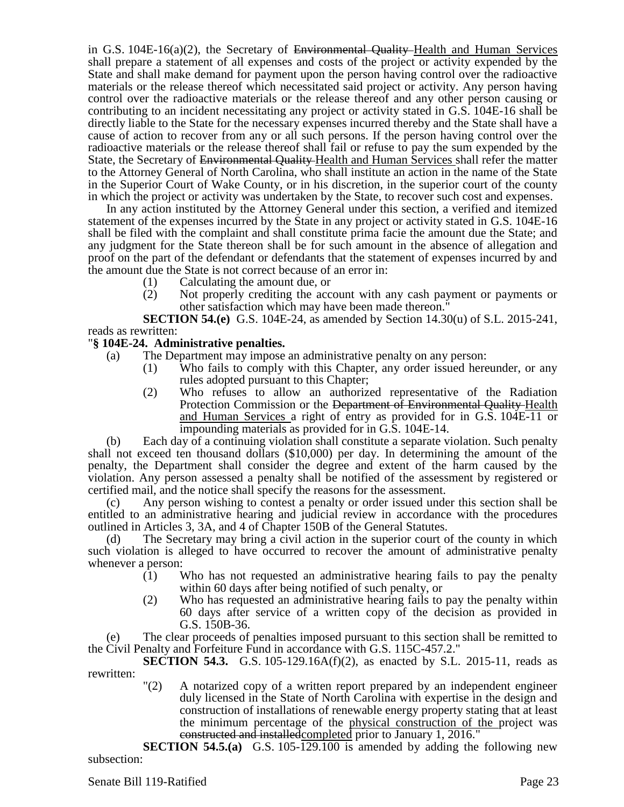in G.S. 104E-16(a)(2), the Secretary of Environmental Quality Health and Human Services shall prepare a statement of all expenses and costs of the project or activity expended by the State and shall make demand for payment upon the person having control over the radioactive materials or the release thereof which necessitated said project or activity. Any person having control over the radioactive materials or the release thereof and any other person causing or contributing to an incident necessitating any project or activity stated in G.S. 104E-16 shall be directly liable to the State for the necessary expenses incurred thereby and the State shall have a cause of action to recover from any or all such persons. If the person having control over the radioactive materials or the release thereof shall fail or refuse to pay the sum expended by the State, the Secretary of Environmental Quality Health and Human Services shall refer the matter to the Attorney General of North Carolina, who shall institute an action in the name of the State in the Superior Court of Wake County, or in his discretion, in the superior court of the county in which the project or activity was undertaken by the State, to recover such cost and expenses.

In any action instituted by the Attorney General under this section, a verified and itemized statement of the expenses incurred by the State in any project or activity stated in G.S. 104E-16 shall be filed with the complaint and shall constitute prima facie the amount due the State; and any judgment for the State thereon shall be for such amount in the absence of allegation and proof on the part of the defendant or defendants that the statement of expenses incurred by and the amount due the State is not correct because of an error in:

- (1) Calculating the amount due, or
- (2) Not properly crediting the account with any cash payment or payments or other satisfaction which may have been made thereon."

**SECTION 54.(e)** G.S. 104E-24, as amended by Section 14.30(u) of S.L. 2015-241, reads as rewritten:

## "**§ 104E-24. Administrative penalties.**

- (a) The Department may impose an administrative penalty on any person:
	- (1) Who fails to comply with this Chapter, any order issued hereunder, or any rules adopted pursuant to this Chapter;
	- (2) Who refuses to allow an authorized representative of the Radiation Protection Commission or the Department of Environmental Quality Health and Human Services a right of entry as provided for in G.S. 104E-11 or impounding materials as provided for in G.S. 104E-14.

(b) Each day of a continuing violation shall constitute a separate violation. Such penalty shall not exceed ten thousand dollars (\$10,000) per day. In determining the amount of the penalty, the Department shall consider the degree and extent of the harm caused by the violation. Any person assessed a penalty shall be notified of the assessment by registered or certified mail, and the notice shall specify the reasons for the assessment.

(c) Any person wishing to contest a penalty or order issued under this section shall be entitled to an administrative hearing and judicial review in accordance with the procedures outlined in Articles 3, 3A, and 4 of Chapter 150B of the General Statutes.

(d) The Secretary may bring a civil action in the superior court of the county in which such violation is alleged to have occurred to recover the amount of administrative penalty whenever a person:

- (1) Who has not requested an administrative hearing fails to pay the penalty within 60 days after being notified of such penalty, or
- (2) Who has requested an administrative hearing fails to pay the penalty within 60 days after service of a written copy of the decision as provided in G.S. 150B-36.

(e) The clear proceeds of penalties imposed pursuant to this section shall be remitted to the Civil Penalty and Forfeiture Fund in accordance with G.S. 115C-457.2."

**SECTION 54.3.** G.S. 105-129.16A(f)(2), as enacted by S.L. 2015-11, reads as rewritten:

"(2) A notarized copy of a written report prepared by an independent engineer duly licensed in the State of North Carolina with expertise in the design and construction of installations of renewable energy property stating that at least the minimum percentage of the physical construction of the project was constructed and installedcompleted prior to January 1, 2016."

**SECTION 54.5.(a)** G.S. 105-129.100 is amended by adding the following new subsection: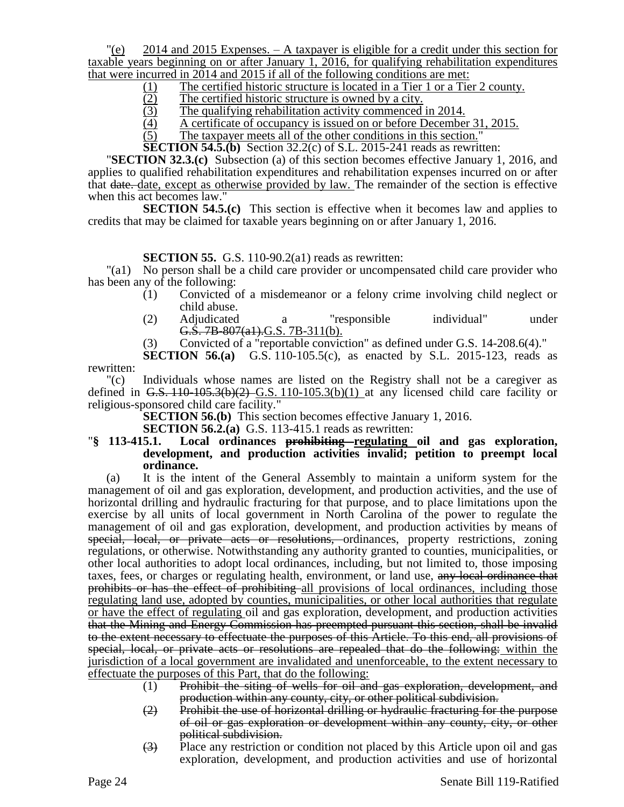$\degree$  2014 and 2015 Expenses. – A taxpayer is eligible for a credit under this section for taxable years beginning on or after January 1, 2016, for qualifying rehabilitation expenditures that were incurred in 2014 and 2015 if all of the following conditions are met:

- (1) The certified historic structure is located in a Tier 1 or a Tier 2 county.<br>
(2) The certified historic structure is owned by a city.
- $\frac{12}{2}$  The certified historic structure is owned by a city.<br>
The qualifying rehabilitation activity commenced
- 
- $(3)$  The qualifying rehabilitation activity commenced in 2014.<br>  $(4)$  A certificate of occupancy is issued on or before December  $\frac{4}{5}$  A certificate of occupancy is issued on or before December 31, 2015.<br>
The taxpayer meets all of the other conditions in this section."
- The taxpayer meets all of the other conditions in this section."

**SECTION 54.5.(b)** Section 32.2(c) of S.L. 2015-241 reads as rewritten:

"**SECTION 32.3.(c)** Subsection (a) of this section becomes effective January 1, 2016, and applies to qualified rehabilitation expenditures and rehabilitation expenses incurred on or after that date. date, except as otherwise provided by law. The remainder of the section is effective when this act becomes law."

**SECTION 54.5.(c)** This section is effective when it becomes law and applies to credits that may be claimed for taxable years beginning on or after January 1, 2016.

### **SECTION 55.** G.S. 110-90.2(a1) reads as rewritten:

"(a1) No person shall be a child care provider or uncompensated child care provider who has been any of the following:

- (1) Convicted of a misdemeanor or a felony crime involving child neglect or child abuse.
- (2) Adjudicated a "responsible individual" under G.S. 7B-807(a1).G.S. 7B-311(b).
- (3) Convicted of a "reportable conviction" as defined under G.S. 14-208.6(4)."

**SECTION 56.(a)** G.S. 110-105.5(c), as enacted by S.L. 2015-123, reads as rewritten:

"(c) Individuals whose names are listed on the Registry shall not be a caregiver as defined in G.S.  $110-105.3(b)(2)$  G.S.  $110-105.3(b)(1)$  at any licensed child care facility or religious-sponsored child care facility."

**SECTION 56.(b)** This section becomes effective January 1, 2016.

**SECTION 56.2.(a)** G.S. 113-415.1 reads as rewritten:

#### "**§ 113-415.1. Local ordinances prohibiting regulating oil and gas exploration, development, and production activities invalid; petition to preempt local ordinance.**

(a) It is the intent of the General Assembly to maintain a uniform system for the management of oil and gas exploration, development, and production activities, and the use of horizontal drilling and hydraulic fracturing for that purpose, and to place limitations upon the exercise by all units of local government in North Carolina of the power to regulate the management of oil and gas exploration, development, and production activities by means of special, local, or private acts or resolutions, ordinances, property restrictions, zoning regulations, or otherwise. Notwithstanding any authority granted to counties, municipalities, or other local authorities to adopt local ordinances, including, but not limited to, those imposing taxes, fees, or charges or regulating health, environment, or land use, any local ordinance that prohibits or has the effect of prohibiting all provisions of local ordinances, including those regulating land use, adopted by counties, municipalities, or other local authorities that regulate or have the effect of regulating oil and gas exploration, development, and production activities that the Mining and Energy Commission has preempted pursuant this section, shall be invalid to the extent necessary to effectuate the purposes of this Article. To this end, all provisions of special, local, or private acts or resolutions are repealed that do the following: within the jurisdiction of a local government are invalidated and unenforceable, to the extent necessary to effectuate the purposes of this Part, that do the following:

- (1) Prohibit the siting of wells for oil and gas exploration, development, and production within any county, city, or other political subdivision.
- (2) Prohibit the use of horizontal drilling or hydraulic fracturing for the purpose of oil or gas exploration or development within any county, city, or other political subdivision.
- (3) Place any restriction or condition not placed by this Article upon oil and gas exploration, development, and production activities and use of horizontal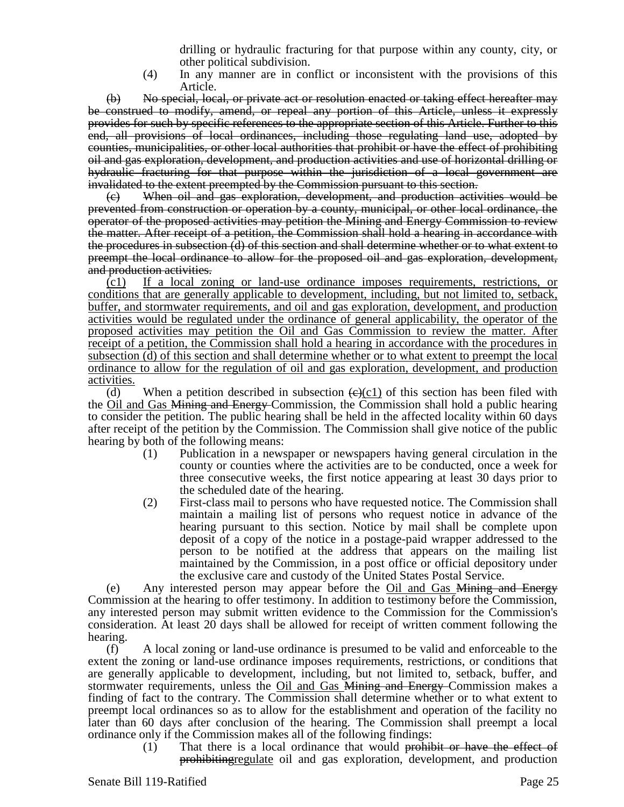drilling or hydraulic fracturing for that purpose within any county, city, or other political subdivision.

(4) In any manner are in conflict or inconsistent with the provisions of this Article.

(b) No special, local, or private act or resolution enacted or taking effect hereafter may be construed to modify, amend, or repeal any portion of this Article, unless it expressly provides for such by specific references to the appropriate section of this Article. Further to this end, all provisions of local ordinances, including those regulating land use, adopted by counties, municipalities, or other local authorities that prohibit or have the effect of prohibiting oil and gas exploration, development, and production activities and use of horizontal drilling or hydraulic fracturing for that purpose within the jurisdiction of a local government are invalidated to the extent preempted by the Commission pursuant to this section.

(c) When oil and gas exploration, development, and production activities would be prevented from construction or operation by a county, municipal, or other local ordinance, the operator of the proposed activities may petition the Mining and Energy Commission to review the matter. After receipt of a petition, the Commission shall hold a hearing in accordance with the procedures in subsection (d) of this section and shall determine whether or to what extent to preempt the local ordinance to allow for the proposed oil and gas exploration, development, and production activities.

(c1) If a local zoning or land-use ordinance imposes requirements, restrictions, or conditions that are generally applicable to development, including, but not limited to, setback, buffer, and stormwater requirements, and oil and gas exploration, development, and production activities would be regulated under the ordinance of general applicability, the operator of the proposed activities may petition the Oil and Gas Commission to review the matter. After receipt of a petition, the Commission shall hold a hearing in accordance with the procedures in subsection (d) of this section and shall determine whether or to what extent to preempt the local ordinance to allow for the regulation of oil and gas exploration, development, and production activities.

(d) When a petition described in subsection  $(\theta)(c1)$  of this section has been filed with the Oil and Gas Mining and Energy Commission, the Commission shall hold a public hearing to consider the petition. The public hearing shall be held in the affected locality within 60 days after receipt of the petition by the Commission. The Commission shall give notice of the public hearing by both of the following means:

- (1) Publication in a newspaper or newspapers having general circulation in the county or counties where the activities are to be conducted, once a week for three consecutive weeks, the first notice appearing at least 30 days prior to the scheduled date of the hearing.
- (2) First-class mail to persons who have requested notice. The Commission shall maintain a mailing list of persons who request notice in advance of the hearing pursuant to this section. Notice by mail shall be complete upon deposit of a copy of the notice in a postage-paid wrapper addressed to the person to be notified at the address that appears on the mailing list maintained by the Commission, in a post office or official depository under the exclusive care and custody of the United States Postal Service.

(e) Any interested person may appear before the Oil and Gas Mining and Energy Commission at the hearing to offer testimony. In addition to testimony before the Commission, any interested person may submit written evidence to the Commission for the Commission's consideration. At least 20 days shall be allowed for receipt of written comment following the hearing.

(f) A local zoning or land-use ordinance is presumed to be valid and enforceable to the extent the zoning or land-use ordinance imposes requirements, restrictions, or conditions that are generally applicable to development, including, but not limited to, setback, buffer, and stormwater requirements, unless the <u>Oil and Gas Mining and Energy C</u>ommission makes a finding of fact to the contrary. The Commission shall determine whether or to what extent to preempt local ordinances so as to allow for the establishment and operation of the facility no later than 60 days after conclusion of the hearing. The Commission shall preempt a local ordinance only if the Commission makes all of the following findings:

 $(1)$  That there is a local ordinance that would prohibit or have the effect of prohibitingregulate oil and gas exploration, development, and production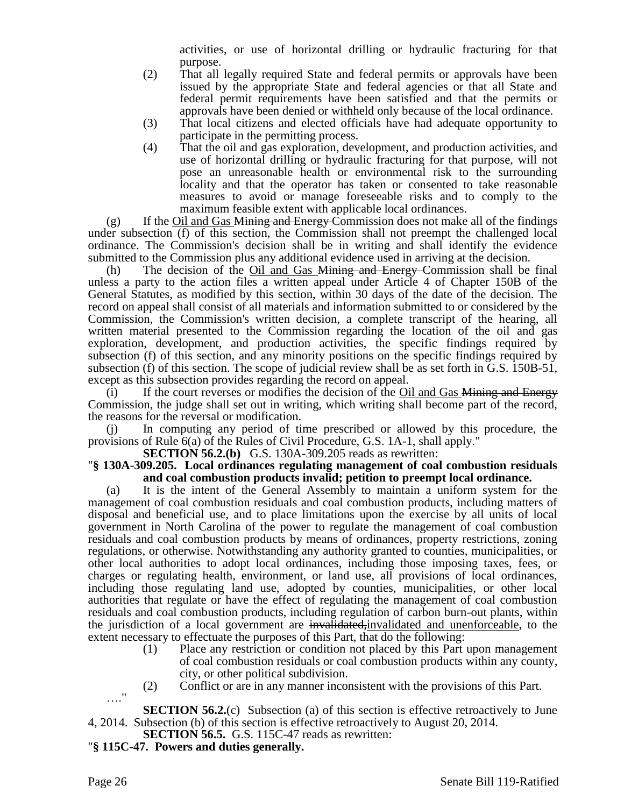activities, or use of horizontal drilling or hydraulic fracturing for that purpose.

- (2) That all legally required State and federal permits or approvals have been issued by the appropriate State and federal agencies or that all State and federal permit requirements have been satisfied and that the permits or approvals have been denied or withheld only because of the local ordinance.
- (3) That local citizens and elected officials have had adequate opportunity to participate in the permitting process.
- (4) That the oil and gas exploration, development, and production activities, and use of horizontal drilling or hydraulic fracturing for that purpose, will not pose an unreasonable health or environmental risk to the surrounding locality and that the operator has taken or consented to take reasonable measures to avoid or manage foreseeable risks and to comply to the maximum feasible extent with applicable local ordinances.

 $(g)$  If the Oil and Gas Mining and Energy Commission does not make all of the findings under subsection (f) of this section, the Commission shall not preempt the challenged local ordinance. The Commission's decision shall be in writing and shall identify the evidence submitted to the Commission plus any additional evidence used in arriving at the decision.

(h) The decision of the Oil and Gas Mining and Energy Commission shall be final unless a party to the action files a written appeal under Article 4 of Chapter 150B of the General Statutes, as modified by this section, within 30 days of the date of the decision. The record on appeal shall consist of all materials and information submitted to or considered by the Commission, the Commission's written decision, a complete transcript of the hearing, all written material presented to the Commission regarding the location of the oil and gas exploration, development, and production activities, the specific findings required by subsection (f) of this section, and any minority positions on the specific findings required by subsection (f) of this section. The scope of judicial review shall be as set forth in G.S. 150B-51, except as this subsection provides regarding the record on appeal.

 $(i)$  If the court reverses or modifies the decision of the Oil and Gas Mining and Energy Commission, the judge shall set out in writing, which writing shall become part of the record, the reasons for the reversal or modification.

(j) In computing any period of time prescribed or allowed by this procedure, the provisions of Rule 6(a) of the Rules of Civil Procedure, G.S. 1A-1, shall apply."

**SECTION 56.2.(b)** G.S. 130A-309.205 reads as rewritten:

### "**§ 130A-309.205. Local ordinances regulating management of coal combustion residuals and coal combustion products invalid; petition to preempt local ordinance.**

(a) It is the intent of the General Assembly to maintain a uniform system for the management of coal combustion residuals and coal combustion products, including matters of disposal and beneficial use, and to place limitations upon the exercise by all units of local government in North Carolina of the power to regulate the management of coal combustion residuals and coal combustion products by means of ordinances, property restrictions, zoning regulations, or otherwise. Notwithstanding any authority granted to counties, municipalities, or other local authorities to adopt local ordinances, including those imposing taxes, fees, or charges or regulating health, environment, or land use, all provisions of local ordinances, including those regulating land use, adopted by counties, municipalities, or other local authorities that regulate or have the effect of regulating the management of coal combustion residuals and coal combustion products, including regulation of carbon burn-out plants, within the jurisdiction of a local government are invalidated, invalidated and unenforceable, to the extent necessary to effectuate the purposes of this Part, that do the following:

- (1) Place any restriction or condition not placed by this Part upon management of coal combustion residuals or coal combustion products within any county, city, or other political subdivision.
- (2) Conflict or are in any manner inconsistent with the provisions of this Part.

…." **SECTION 56.2.**(c) Subsection (a) of this section is effective retroactively to June 4, 2014. Subsection (b) of this section is effective retroactively to August 20, 2014.

- **SECTION 56.5.** G.S. 115C-47 reads as rewritten:
- "**§ 115C-47. Powers and duties generally.**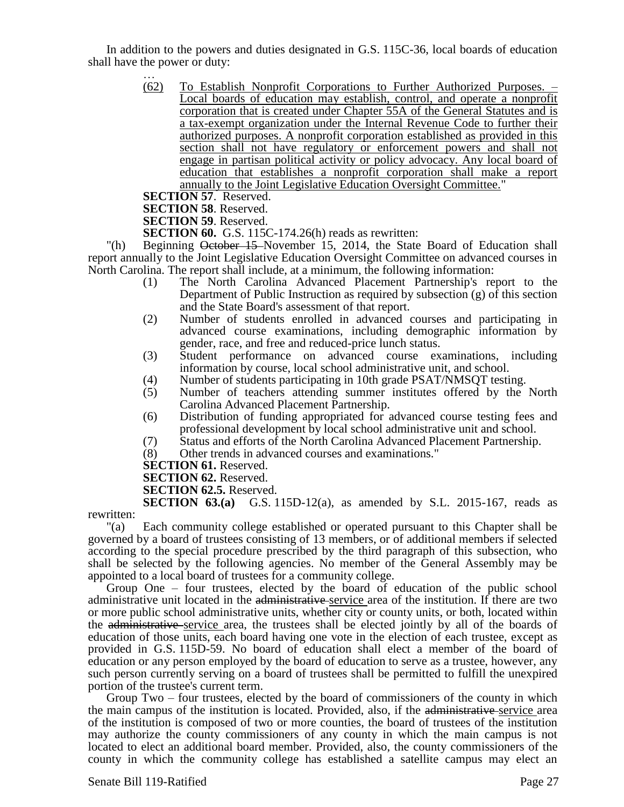In addition to the powers and duties designated in G.S. 115C-36, local boards of education shall have the power or duty:

> (62) To Establish Nonprofit Corporations to Further Authorized Purposes. – Local boards of education may establish, control, and operate a nonprofit corporation that is created under Chapter 55A of the General Statutes and is a tax-exempt organization under the Internal Revenue Code to further their authorized purposes. A nonprofit corporation established as provided in this section shall not have regulatory or enforcement powers and shall not engage in partisan political activity or policy advocacy. Any local board of education that establishes a nonprofit corporation shall make a report annually to the Joint Legislative Education Oversight Committee."

**SECTION 57**. Reserved.

…

**SECTION 58**. Reserved.

**SECTION 59**. Reserved.

**SECTION 60.** G.S. 115C-174.26(h) reads as rewritten:

"(h) Beginning October 15 November 15, 2014, the State Board of Education shall report annually to the Joint Legislative Education Oversight Committee on advanced courses in North Carolina. The report shall include, at a minimum, the following information:

- (1) The North Carolina Advanced Placement Partnership's report to the Department of Public Instruction as required by subsection (g) of this section and the State Board's assessment of that report.
- (2) Number of students enrolled in advanced courses and participating in advanced course examinations, including demographic information by gender, race, and free and reduced-price lunch status.
- (3) Student performance on advanced course examinations, including information by course, local school administrative unit, and school.
- (4) Number of students participating in 10th grade PSAT/NMSQT testing.<br>(5) Number of teachers attending summer institutes offered by the
- Number of teachers attending summer institutes offered by the North Carolina Advanced Placement Partnership.
- (6) Distribution of funding appropriated for advanced course testing fees and professional development by local school administrative unit and school.
- (7) Status and efforts of the North Carolina Advanced Placement Partnership.
- (8) Other trends in advanced courses and examinations."

**SECTION 61.** Reserved.

**SECTION 62.** Reserved.

**SECTION 62.5.** Reserved.

**SECTION 63.(a)** G.S. 115D-12(a), as amended by S.L. 2015-167, reads as

rewritten:<br> $"(a)$ Each community college established or operated pursuant to this Chapter shall be governed by a board of trustees consisting of 13 members, or of additional members if selected according to the special procedure prescribed by the third paragraph of this subsection, who shall be selected by the following agencies. No member of the General Assembly may be appointed to a local board of trustees for a community college.

Group One – four trustees, elected by the board of education of the public school administrative unit located in the administrative service area of the institution. If there are two or more public school administrative units, whether city or county units, or both, located within the administrative service area, the trustees shall be elected jointly by all of the boards of education of those units, each board having one vote in the election of each trustee, except as provided in G.S. 115D-59. No board of education shall elect a member of the board of education or any person employed by the board of education to serve as a trustee, however, any such person currently serving on a board of trustees shall be permitted to fulfill the unexpired portion of the trustee's current term.

Group Two – four trustees, elected by the board of commissioners of the county in which the main campus of the institution is located. Provided, also, if the administrative service area of the institution is composed of two or more counties, the board of trustees of the institution may authorize the county commissioners of any county in which the main campus is not located to elect an additional board member. Provided, also, the county commissioners of the county in which the community college has established a satellite campus may elect an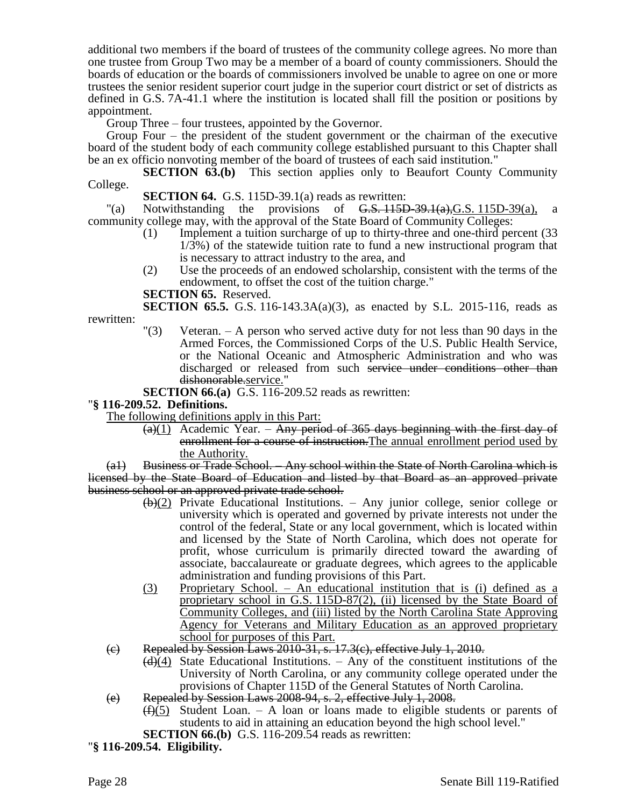additional two members if the board of trustees of the community college agrees. No more than one trustee from Group Two may be a member of a board of county commissioners. Should the boards of education or the boards of commissioners involved be unable to agree on one or more trustees the senior resident superior court judge in the superior court district or set of districts as defined in G.S. 7A-41.1 where the institution is located shall fill the position or positions by appointment.

Group Three – four trustees, appointed by the Governor.

Group Four – the president of the student government or the chairman of the executive board of the student body of each community college established pursuant to this Chapter shall be an ex officio nonvoting member of the board of trustees of each said institution."

**SECTION 63.(b)** This section applies only to Beaufort County Community College.

**SECTION 64.** G.S. 115D-39.1(a) reads as rewritten:

"(a) Notwithstanding the provisions of  $G.S. 115D-39.1(a), G.S. 115D-39(a)$ , a community college may, with the approval of the State Board of Community Colleges:

- (1) Implement a tuition surcharge of up to thirty-three and one-third percent (33 1/3%) of the statewide tuition rate to fund a new instructional program that is necessary to attract industry to the area, and
- (2) Use the proceeds of an endowed scholarship, consistent with the terms of the endowment, to offset the cost of the tuition charge."

**SECTION 65.** Reserved.

**SECTION 65.5.** G.S. 116-143.3A(a)(3), as enacted by S.L. 2015-116, reads as rewritten:

 $\Gamma(3)$  Veteran. – A person who served active duty for not less than 90 days in the Armed Forces, the Commissioned Corps of the U.S. Public Health Service, or the National Oceanic and Atmospheric Administration and who was discharged or released from such service under conditions other than dishonorable.service."

**SECTION 66.(a)** G.S. 116-209.52 reads as rewritten:

### "**§ 116-209.52. Definitions.**

The following definitions apply in this Part:

 $(a)(1)$  Academic Year. – Any period of 365 days beginning with the first day of enrollment for a course of instruction. The annual enrollment period used by the Authority.

(a1) Business or Trade School. – Any school within the State of North Carolina which is licensed by the State Board of Education and listed by that Board as an approved private business school or an approved private trade school.

- $(b)(2)$  Private Educational Institutions. Any junior college, senior college or university which is operated and governed by private interests not under the control of the federal, State or any local government, which is located within and licensed by the State of North Carolina, which does not operate for profit, whose curriculum is primarily directed toward the awarding of associate, baccalaureate or graduate degrees, which agrees to the applicable administration and funding provisions of this Part.
- (3) Proprietary School. An educational institution that is (i) defined as a proprietary school in G.S. 115D-87(2), (ii) licensed by the State Board of Community Colleges, and (iii) listed by the North Carolina State Approving Agency for Veterans and Military Education as an approved proprietary school for purposes of this Part.
- (c) Repealed by Session Laws 2010-31, s. 17.3(c), effective July 1, 2010.
	- $\left(\frac{d}{4}\right)$  State Educational Institutions. Any of the constituent institutions of the University of North Carolina, or any community college operated under the provisions of Chapter 115D of the General Statutes of North Carolina.
- (e) Repealed by Session Laws 2008-94, s. 2, effective July 1, 2008.
	- $(f)(5)$  Student Loan. A loan or loans made to eligible students or parents of students to aid in attaining an education beyond the high school level."
- **SECTION 66.(b)** G.S. 116-209.54 reads as rewritten:

"**§ 116-209.54. Eligibility.**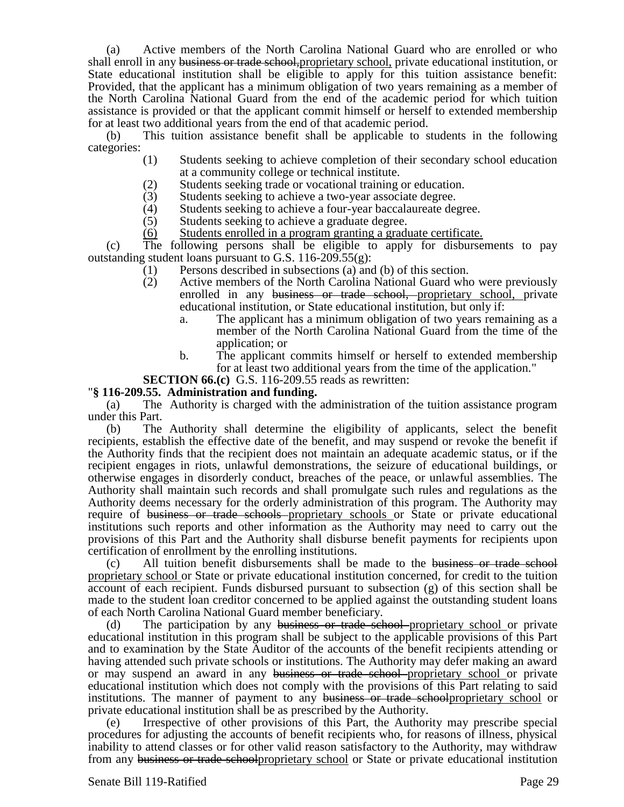(a) Active members of the North Carolina National Guard who are enrolled or who shall enroll in any business or trade school, proprietary school, private educational institution, or State educational institution shall be eligible to apply for this tuition assistance benefit: Provided, that the applicant has a minimum obligation of two years remaining as a member of the North Carolina National Guard from the end of the academic period for which tuition assistance is provided or that the applicant commit himself or herself to extended membership for at least two additional years from the end of that academic period.

(b) This tuition assistance benefit shall be applicable to students in the following categories:

- (1) Students seeking to achieve completion of their secondary school education at a community college or technical institute.
- (2) Students seeking trade or vocational training or education.
- (3) Students seeking to achieve a two-year associate degree.<br>(4) Students seeking to achieve a four-year baccalaureate degree.
- Students seeking to achieve a four-year baccalaureate degree.
- (5) Students seeking to achieve a graduate degree.
- (6) Students enrolled in a program granting a graduate certificate.

(c) The following persons shall be eligible to apply for disbursements to pay outstanding student loans pursuant to G.S. 116-209.55(g):

- (1) Persons described in subsections (a) and (b) of this section.
- (2) Active members of the North Carolina National Guard who were previously enrolled in any business or trade school, proprietary school, private educational institution, or State educational institution, but only if:
	- a. The applicant has a minimum obligation of two years remaining as a member of the North Carolina National Guard from the time of the application; or
	- b. The applicant commits himself or herself to extended membership for at least two additional years from the time of the application."

**SECTION 66.(c)** G.S. 116-209.55 reads as rewritten:

#### "**§ 116-209.55. Administration and funding.**

(a) The Authority is charged with the administration of the tuition assistance program under this Part.

(b) The Authority shall determine the eligibility of applicants, select the benefit recipients, establish the effective date of the benefit, and may suspend or revoke the benefit if the Authority finds that the recipient does not maintain an adequate academic status, or if the recipient engages in riots, unlawful demonstrations, the seizure of educational buildings, or otherwise engages in disorderly conduct, breaches of the peace, or unlawful assemblies. The Authority shall maintain such records and shall promulgate such rules and regulations as the Authority deems necessary for the orderly administration of this program. The Authority may require of business or trade schools proprietary schools or State or private educational institutions such reports and other information as the Authority may need to carry out the provisions of this Part and the Authority shall disburse benefit payments for recipients upon certification of enrollment by the enrolling institutions.

(c) All tuition benefit disbursements shall be made to the business or trade school proprietary school or State or private educational institution concerned, for credit to the tuition account of each recipient. Funds disbursed pursuant to subsection (g) of this section shall be made to the student loan creditor concerned to be applied against the outstanding student loans of each North Carolina National Guard member beneficiary.

(d) The participation by any business or trade school proprietary school or private educational institution in this program shall be subject to the applicable provisions of this Part and to examination by the State Auditor of the accounts of the benefit recipients attending or having attended such private schools or institutions. The Authority may defer making an award or may suspend an award in any business or trade school proprietary school or private educational institution which does not comply with the provisions of this Part relating to said institutions. The manner of payment to any business or trade school proprietary school or private educational institution shall be as prescribed by the Authority.

(e) Irrespective of other provisions of this Part, the Authority may prescribe special procedures for adjusting the accounts of benefit recipients who, for reasons of illness, physical inability to attend classes or for other valid reason satisfactory to the Authority, may withdraw from any business or trade school proprietary school or State or private educational institution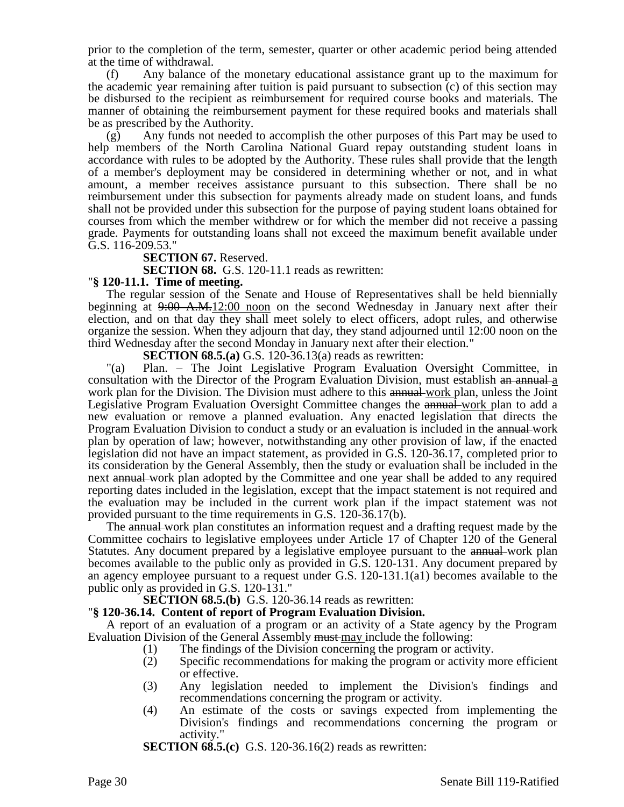prior to the completion of the term, semester, quarter or other academic period being attended at the time of withdrawal.

(f) Any balance of the monetary educational assistance grant up to the maximum for the academic year remaining after tuition is paid pursuant to subsection (c) of this section may be disbursed to the recipient as reimbursement for required course books and materials. The manner of obtaining the reimbursement payment for these required books and materials shall be as prescribed by the Authority.

(g) Any funds not needed to accomplish the other purposes of this Part may be used to help members of the North Carolina National Guard repay outstanding student loans in accordance with rules to be adopted by the Authority. These rules shall provide that the length of a member's deployment may be considered in determining whether or not, and in what amount, a member receives assistance pursuant to this subsection. There shall be no reimbursement under this subsection for payments already made on student loans, and funds shall not be provided under this subsection for the purpose of paying student loans obtained for courses from which the member withdrew or for which the member did not receive a passing grade. Payments for outstanding loans shall not exceed the maximum benefit available under G.S. 116-209.53."

**SECTION 67. Reserved.** 

**SECTION 68.** G.S. 120-11.1 reads as rewritten:

### "**§ 120-11.1. Time of meeting.**

The regular session of the Senate and House of Representatives shall be held biennially beginning at  $9.00 \text{ A.M.}12.00 \text{ noon}$  on the second Wednesday in January next after their election, and on that day they shall meet solely to elect officers, adopt rules, and otherwise organize the session. When they adjourn that day, they stand adjourned until 12:00 noon on the third Wednesday after the second Monday in January next after their election."

**SECTION 68.5.(a)** G.S. 120-36.13(a) reads as rewritten:

"(a) Plan. – The Joint Legislative Program Evaluation Oversight Committee, in consultation with the Director of the Program Evaluation Division, must establish an annual a work plan for the Division. The Division must adhere to this annual work plan, unless the Joint Legislative Program Evaluation Oversight Committee changes the annual work plan to add a new evaluation or remove a planned evaluation. Any enacted legislation that directs the Program Evaluation Division to conduct a study or an evaluation is included in the annual-work plan by operation of law; however, notwithstanding any other provision of law, if the enacted legislation did not have an impact statement, as provided in G.S. 120-36.17, completed prior to its consideration by the General Assembly, then the study or evaluation shall be included in the next annual work plan adopted by the Committee and one year shall be added to any required reporting dates included in the legislation, except that the impact statement is not required and the evaluation may be included in the current work plan if the impact statement was not provided pursuant to the time requirements in G.S. 120-36.17(b).

The annual work plan constitutes an information request and a drafting request made by the Committee cochairs to legislative employees under Article 17 of Chapter 120 of the General Statutes. Any document prepared by a legislative employee pursuant to the annual work plan becomes available to the public only as provided in G.S. 120-131. Any document prepared by an agency employee pursuant to a request under G.S. 120-131.1(a1) becomes available to the public only as provided in G.S. 120-131."

**SECTION 68.5.(b)** G.S. 120-36.14 reads as rewritten:

### "**§ 120-36.14. Content of report of Program Evaluation Division.**

A report of an evaluation of a program or an activity of a State agency by the Program Evaluation Division of the General Assembly must may include the following:

- (1) The findings of the Division concerning the program or activity.
- (2) Specific recommendations for making the program or activity more efficient or effective.
- (3) Any legislation needed to implement the Division's findings and recommendations concerning the program or activity.
- (4) An estimate of the costs or savings expected from implementing the Division's findings and recommendations concerning the program or activity."

**SECTION 68.5.(c)** G.S. 120-36.16(2) reads as rewritten: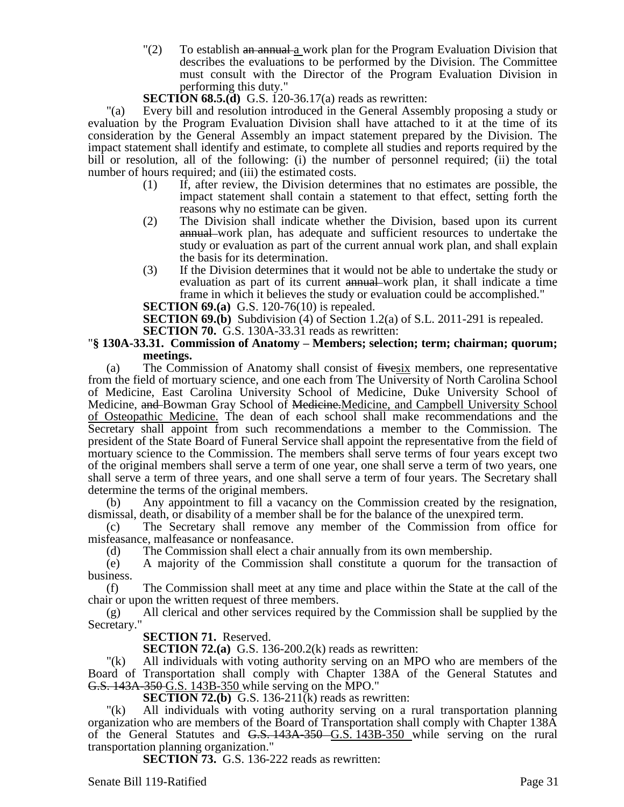"(2) To establish an annual  $\frac{a}{a}$  work plan for the Program Evaluation Division that describes the evaluations to be performed by the Division. The Committee must consult with the Director of the Program Evaluation Division in performing this duty."

**SECTION 68.5.(d)** G.S. 120-36.17(a) reads as rewritten:

"(a) Every bill and resolution introduced in the General Assembly proposing a study or evaluation by the Program Evaluation Division shall have attached to it at the time of its consideration by the General Assembly an impact statement prepared by the Division. The impact statement shall identify and estimate, to complete all studies and reports required by the bill or resolution, all of the following: (i) the number of personnel required; (ii) the total number of hours required; and (iii) the estimated costs.

- (1) If, after review, the Division determines that no estimates are possible, the impact statement shall contain a statement to that effect, setting forth the reasons why no estimate can be given.
- (2) The Division shall indicate whether the Division, based upon its current annual work plan, has adequate and sufficient resources to undertake the study or evaluation as part of the current annual work plan, and shall explain the basis for its determination.
- (3) If the Division determines that it would not be able to undertake the study or evaluation as part of its current annual work plan, it shall indicate a time frame in which it believes the study or evaluation could be accomplished."

**SECTION 69.(a)** G.S. 120-76(10) is repealed.

**SECTION 69.(b)** Subdivision (4) of Section 1.2(a) of S.L. 2011-291 is repealed. **SECTION 70.** G.S. 130A-33.31 reads as rewritten:

### "**§ 130A-33.31. Commission of Anatomy – Members; selection; term; chairman; quorum; meetings.**

(a) The Commission of Anatomy shall consist of fivesix members, one representative from the field of mortuary science, and one each from The University of North Carolina School of Medicine, East Carolina University School of Medicine, Duke University School of Medicine, and Bowman Gray School of Medicine. Medicine, and Campbell University School of Osteopathic Medicine. The dean of each school shall make recommendations and the Secretary shall appoint from such recommendations a member to the Commission. The president of the State Board of Funeral Service shall appoint the representative from the field of mortuary science to the Commission. The members shall serve terms of four years except two of the original members shall serve a term of one year, one shall serve a term of two years, one shall serve a term of three years, and one shall serve a term of four years. The Secretary shall determine the terms of the original members.

(b) Any appointment to fill a vacancy on the Commission created by the resignation, dismissal, death, or disability of a member shall be for the balance of the unexpired term.

(c) The Secretary shall remove any member of the Commission from office for misfeasance, malfeasance or nonfeasance.

(d) The Commission shall elect a chair annually from its own membership.

(e) A majority of the Commission shall constitute a quorum for the transaction of business.

(f) The Commission shall meet at any time and place within the State at the call of the chair or upon the written request of three members.

(g) All clerical and other services required by the Commission shall be supplied by the Secretary."

**SECTION 71.** Reserved.

**SECTION 72.(a)** G.S. 136-200.2(k) reads as rewritten:

"(k) All individuals with voting authority serving on an MPO who are members of the Board of Transportation shall comply with Chapter 138A of the General Statutes and G.S. 143A-350 G.S. 143B-350 while serving on the MPO."

**SECTION 72.(b)** G.S. 136-211(k) reads as rewritten:

"(k) All individuals with voting authority serving on a rural transportation planning organization who are members of the Board of Transportation shall comply with Chapter 138A of the General Statutes and G.S. 143A-350 G.S. 143B-350 while serving on the rural transportation planning organization."

**SECTION 73.** G.S. 136-222 reads as rewritten:

Senate Bill 119-Ratified Page 31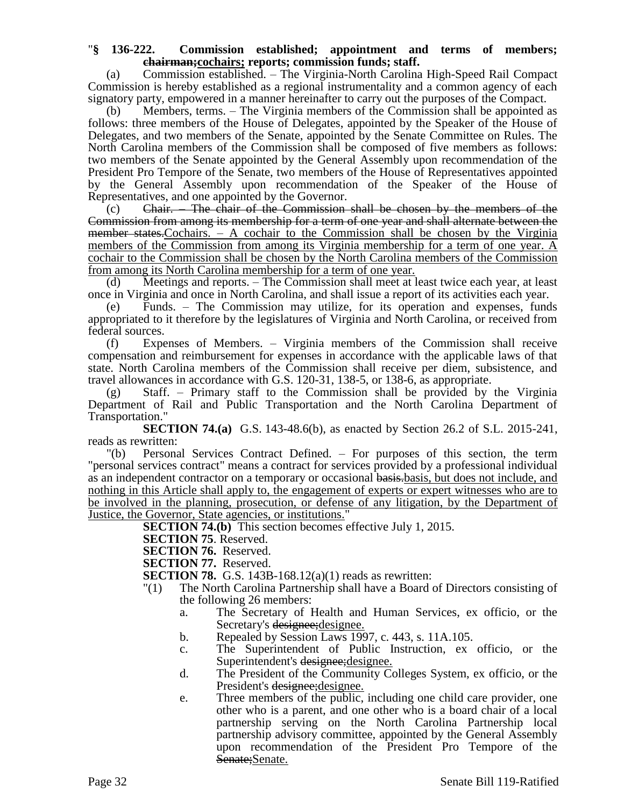### "**§ 136-222. Commission established; appointment and terms of members; chairman;cochairs; reports; commission funds; staff.**

(a) Commission established. – The Virginia-North Carolina High-Speed Rail Compact Commission is hereby established as a regional instrumentality and a common agency of each signatory party, empowered in a manner hereinafter to carry out the purposes of the Compact.

(b) Members, terms. – The Virginia members of the Commission shall be appointed as follows: three members of the House of Delegates, appointed by the Speaker of the House of Delegates, and two members of the Senate, appointed by the Senate Committee on Rules. The North Carolina members of the Commission shall be composed of five members as follows: two members of the Senate appointed by the General Assembly upon recommendation of the President Pro Tempore of the Senate, two members of the House of Representatives appointed by the General Assembly upon recommendation of the Speaker of the House of Representatives, and one appointed by the Governor.

(c) Chair. – The chair of the Commission shall be chosen by the members of the Commission from among its membership for a term of one year and shall alternate between the  $m$  member states. Cochairs.  $- A$  cochair to the Commission shall be chosen by the Virginia members of the Commission from among its Virginia membership for a term of one year. A cochair to the Commission shall be chosen by the North Carolina members of the Commission from among its North Carolina membership for a term of one year.

(d) Meetings and reports. – The Commission shall meet at least twice each year, at least once in Virginia and once in North Carolina, and shall issue a report of its activities each year.

(e) Funds. – The Commission may utilize, for its operation and expenses, funds appropriated to it therefore by the legislatures of Virginia and North Carolina, or received from federal sources.

(f) Expenses of Members. – Virginia members of the Commission shall receive compensation and reimbursement for expenses in accordance with the applicable laws of that state. North Carolina members of the Commission shall receive per diem, subsistence, and travel allowances in accordance with G.S. 120-31, 138-5, or 138-6, as appropriate.

(g) Staff. – Primary staff to the Commission shall be provided by the Virginia Department of Rail and Public Transportation and the North Carolina Department of Transportation."

**SECTION 74.(a)** G.S. 143-48.6(b), as enacted by Section 26.2 of S.L. 2015-241, reads as rewritten:

"(b) Personal Services Contract Defined. – For purposes of this section, the term "personal services contract" means a contract for services provided by a professional individual as an independent contractor on a temporary or occasional basis.basis, but does not include, and nothing in this Article shall apply to, the engagement of experts or expert witnesses who are to be involved in the planning, prosecution, or defense of any litigation, by the Department of Justice, the Governor, State agencies, or institutions."

**SECTION 74.(b)** This section becomes effective July 1, 2015.

**SECTION 75**. Reserved.

**SECTION 76.** Reserved.

**SECTION 77.** Reserved.

**SECTION 78.** G.S. 143B-168.12(a)(1) reads as rewritten:

- "(1) The North Carolina Partnership shall have a Board of Directors consisting of the following 26 members:
	- a. The Secretary of Health and Human Services, ex officio, or the Secretary's designee; designee.
	- b. Repealed by Session Laws 1997, c. 443, s. 11A.105.
	- c. The Superintendent of Public Instruction, ex officio, or the Superintendent's designee; designee.
	- d. The President of the Community Colleges System, ex officio, or the President's designee; designee.
	- e. Three members of the public, including one child care provider, one other who is a parent, and one other who is a board chair of a local partnership serving on the North Carolina Partnership local partnership advisory committee, appointed by the General Assembly upon recommendation of the President Pro Tempore of the Senate;Senate.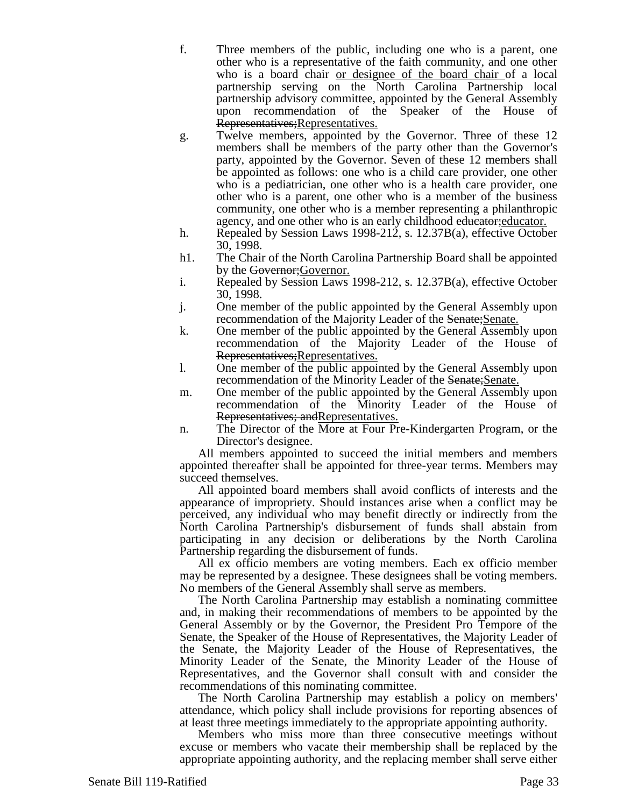f. Three members of the public, including one who is a parent, one other who is a representative of the faith community, and one other who is a board chair or designee of the board chair of a local partnership serving on the North Carolina Partnership local partnership advisory committee, appointed by the General Assembly upon recommendation of the Speaker of the House of Representatives;Representatives.

- g. Twelve members, appointed by the Governor. Three of these 12 members shall be members of the party other than the Governor's party, appointed by the Governor. Seven of these 12 members shall be appointed as follows: one who is a child care provider, one other who is a pediatrician, one other who is a health care provider, one other who is a parent, one other who is a member of the business community, one other who is a member representing a philanthropic agency, and one other who is an early childhood educator; educator.
- h. Repealed by Session Laws 1998-212, s. 12.37B(a), effective October 30, 1998.
- h1. The Chair of the North Carolina Partnership Board shall be appointed by the Governor; Governor.
- i. Repealed by Session Laws 1998-212, s. 12.37B(a), effective October 30, 1998.
- j. One member of the public appointed by the General Assembly upon recommendation of the Majority Leader of the Senate; Senate.
- k. One member of the public appointed by the General Assembly upon recommendation of the Majority Leader of the House of Representatives;Representatives.
- l. One member of the public appointed by the General Assembly upon recommendation of the Minority Leader of the Senate; Senate.
- m. One member of the public appointed by the General Assembly upon recommendation of the Minority Leader of the House of Representatives; and Representatives.
- n. The Director of the More at Four Pre-Kindergarten Program, or the Director's designee.

All members appointed to succeed the initial members and members appointed thereafter shall be appointed for three-year terms. Members may succeed themselves.

All appointed board members shall avoid conflicts of interests and the appearance of impropriety. Should instances arise when a conflict may be perceived, any individual who may benefit directly or indirectly from the North Carolina Partnership's disbursement of funds shall abstain from participating in any decision or deliberations by the North Carolina Partnership regarding the disbursement of funds.

All ex officio members are voting members. Each ex officio member may be represented by a designee. These designees shall be voting members. No members of the General Assembly shall serve as members.

The North Carolina Partnership may establish a nominating committee and, in making their recommendations of members to be appointed by the General Assembly or by the Governor, the President Pro Tempore of the Senate, the Speaker of the House of Representatives, the Majority Leader of the Senate, the Majority Leader of the House of Representatives, the Minority Leader of the Senate, the Minority Leader of the House of Representatives, and the Governor shall consult with and consider the recommendations of this nominating committee.

The North Carolina Partnership may establish a policy on members' attendance, which policy shall include provisions for reporting absences of at least three meetings immediately to the appropriate appointing authority.

Members who miss more than three consecutive meetings without excuse or members who vacate their membership shall be replaced by the appropriate appointing authority, and the replacing member shall serve either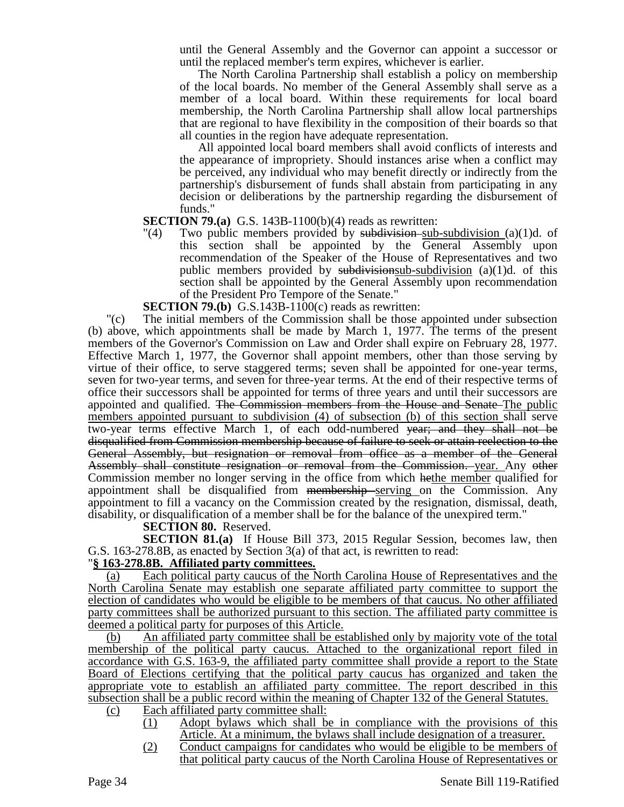until the General Assembly and the Governor can appoint a successor or until the replaced member's term expires, whichever is earlier.

The North Carolina Partnership shall establish a policy on membership of the local boards. No member of the General Assembly shall serve as a member of a local board. Within these requirements for local board membership, the North Carolina Partnership shall allow local partnerships that are regional to have flexibility in the composition of their boards so that all counties in the region have adequate representation.

All appointed local board members shall avoid conflicts of interests and the appearance of impropriety. Should instances arise when a conflict may be perceived, any individual who may benefit directly or indirectly from the partnership's disbursement of funds shall abstain from participating in any decision or deliberations by the partnership regarding the disbursement of funds."

## **SECTION 79.(a)** G.S. 143B-1100(b)(4) reads as rewritten:

"(4) Two public members provided by subdivision-sub-subdivision (a)(1)d. of this section shall be appointed by the General Assembly upon recommendation of the Speaker of the House of Representatives and two public members provided by subdivisionsub-subdivision  $(a)(1)d$ . of this section shall be appointed by the General Assembly upon recommendation of the President Pro Tempore of the Senate."

**SECTION 79.(b)** G.S.143B-1100(c) reads as rewritten:

"(c) The initial members of the Commission shall be those appointed under subsection (b) above, which appointments shall be made by March 1, 1977. The terms of the present members of the Governor's Commission on Law and Order shall expire on February 28, 1977. Effective March 1, 1977, the Governor shall appoint members, other than those serving by virtue of their office, to serve staggered terms; seven shall be appointed for one-year terms, seven for two-year terms, and seven for three-year terms. At the end of their respective terms of office their successors shall be appointed for terms of three years and until their successors are appointed and qualified. The Commission members from the House and Senate The public members appointed pursuant to subdivision (4) of subsection (b) of this section shall serve two-year terms effective March 1, of each odd-numbered year; and they shall not be disqualified from Commission membership because of failure to seek or attain reelection to the General Assembly, but resignation or removal from office as a member of the General Assembly shall constitute resignation or removal from the Commission. year. Any other Commission member no longer serving in the office from which hethe member qualified for appointment shall be disqualified from membership serving on the Commission. Any appointment to fill a vacancy on the Commission created by the resignation, dismissal, death, disability, or disqualification of a member shall be for the balance of the unexpired term."

**SECTION 80.** Reserved.

**SECTION 81.(a)** If House Bill 373, 2015 Regular Session, becomes law, then G.S. 163-278.8B, as enacted by Section 3(a) of that act, is rewritten to read:

# "**§ 163-278.8B. Affiliated party committees.**

(a) Each political party caucus of the North Carolina House of Representatives and the North Carolina Senate may establish one separate affiliated party committee to support the election of candidates who would be eligible to be members of that caucus. No other affiliated party committees shall be authorized pursuant to this section. The affiliated party committee is deemed a political party for purposes of this Article.

(b) An affiliated party committee shall be established only by majority vote of the total membership of the political party caucus. Attached to the organizational report filed in accordance with G.S. 163-9, the affiliated party committee shall provide a report to the State Board of Elections certifying that the political party caucus has organized and taken the appropriate vote to establish an affiliated party committee. The report described in this subsection shall be a public record within the meaning of Chapter 132 of the General Statutes.

- (c) Each affiliated party committee shall:
	- (1) Adopt bylaws which shall be in compliance with the provisions of this Article. At a minimum, the bylaws shall include designation of a treasurer.
	- (2) Conduct campaigns for candidates who would be eligible to be members of that political party caucus of the North Carolina House of Representatives or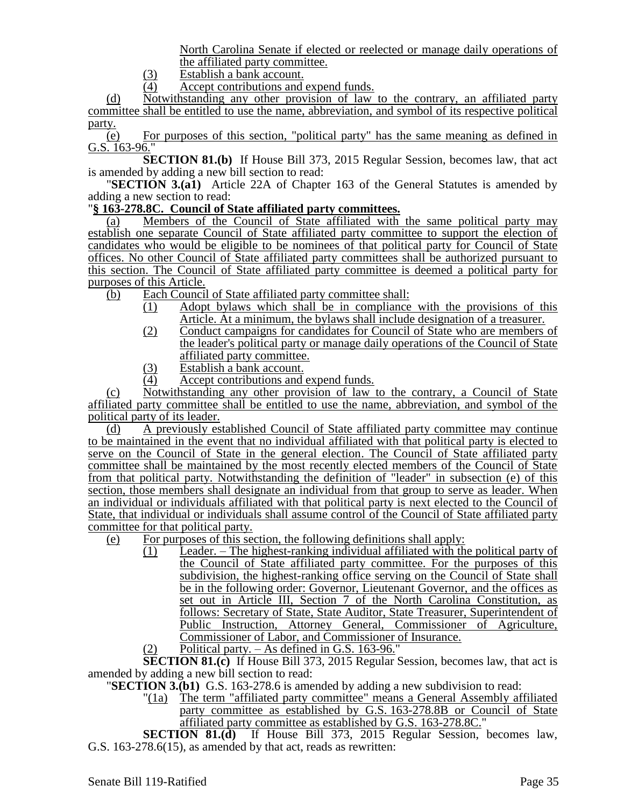North Carolina Senate if elected or reelected or manage daily operations of the affiliated party committee.

- $\frac{(3)}{(4)}$  Establish a bank account.<br>Accept contributions and
- Accept contributions and expend funds.

(d) Notwithstanding any other provision of law to the contrary, an affiliated party committee shall be entitled to use the name, abbreviation, and symbol of its respective political party.

(e) For purposes of this section, "political party" has the same meaning as defined in G.S. 163-96."

**SECTION 81.(b)** If House Bill 373, 2015 Regular Session, becomes law, that act is amended by adding a new bill section to read:

"**SECTION 3.(a1)** Article 22A of Chapter 163 of the General Statutes is amended by adding a new section to read:

## "**§ 163-278.8C. Council of State affiliated party committees.**

(a) Members of the Council of State affiliated with the same political party may establish one separate Council of State affiliated party committee to support the election of candidates who would be eligible to be nominees of that political party for Council of State offices. No other Council of State affiliated party committees shall be authorized pursuant to this section. The Council of State affiliated party committee is deemed a political party for purposes of this Article.

- (b) Each Council of State affiliated party committee shall:
	- (1) Adopt bylaws which shall be in compliance with the provisions of this Article. At a minimum, the bylaws shall include designation of a treasurer.
	- (2) Conduct campaigns for candidates for Council of State who are members of the leader's political party or manage daily operations of the Council of State affiliated party committee.
	- (3) Establish a bank account.
	- (4) Accept contributions and expend funds.

(c) Notwithstanding any other provision of law to the contrary, a Council of State affiliated party committee shall be entitled to use the name, abbreviation, and symbol of the political party of its leader.

(d) A previously established Council of State affiliated party committee may continue to be maintained in the event that no individual affiliated with that political party is elected to serve on the Council of State in the general election. The Council of State affiliated party committee shall be maintained by the most recently elected members of the Council of State from that political party. Notwithstanding the definition of "leader" in subsection (e) of this section, those members shall designate an individual from that group to serve as leader. When an individual or individuals affiliated with that political party is next elected to the Council of State, that individual or individuals shall assume control of the Council of State affiliated party committee for that political party.

- (e) For purposes of this section, the following definitions shall apply:
	- (1) Leader. The highest-ranking individual affiliated with the political party of the Council of State affiliated party committee. For the purposes of this subdivision, the highest-ranking office serving on the Council of State shall be in the following order: Governor, Lieutenant Governor, and the offices as set out in Article III, Section 7 of the North Carolina Constitution, as follows: Secretary of State, State Auditor, State Treasurer, Superintendent of Public Instruction, Attorney General, Commissioner of Agriculture, Commissioner of Labor, and Commissioner of Insurance.
	- (2) Political party. As defined in G.S. 163-96."

**SECTION 81.(c)** If House Bill 373, 2015 Regular Session, becomes law, that act is amended by adding a new bill section to read:

- "**SECTION 3.(b1)** G.S. 163-278.6 is amended by adding a new subdivision to read:
	- "(1a) The term "affiliated party committee" means a General Assembly affiliated party committee as established by G.S. 163-278.8B or Council of State affiliated party committee as established by G.S. 163-278.8C."

**SECTION 81.(d)** If House Bill 373, 2015 Regular Session, becomes law, G.S. 163-278.6(15), as amended by that act, reads as rewritten: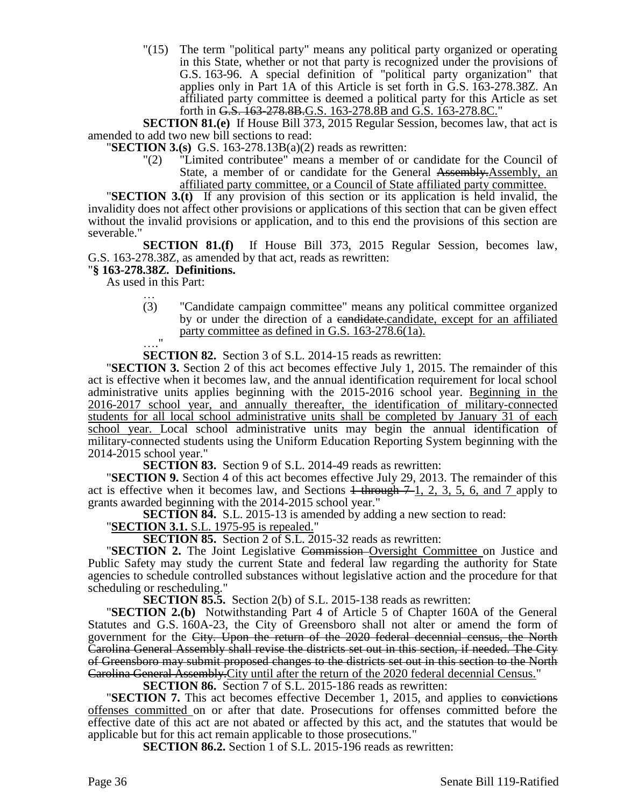"(15) The term "political party" means any political party organized or operating in this State, whether or not that party is recognized under the provisions of G.S. 163-96. A special definition of "political party organization" that applies only in Part 1A of this Article is set forth in G.S. 163-278.38Z. An affiliated party committee is deemed a political party for this Article as set forth in G.S. 163-278.8B.G.S. 163-278.8B and G.S. 163-278.8C."

**SECTION 81.(e)** If House Bill 373, 2015 Regular Session, becomes law, that act is amended to add two new bill sections to read:

"**SECTION 3.(s)** G.S. 163-278.13B(a)(2) reads as rewritten:

"(2) "Limited contributee" means a member of or candidate for the Council of State, a member of or candidate for the General Assembly.Assembly, an affiliated party committee, or a Council of State affiliated party committee.

"**SECTION 3.(t)** If any provision of this section or its application is held invalid, the invalidity does not affect other provisions or applications of this section that can be given effect without the invalid provisions or application, and to this end the provisions of this section are severable."

**SECTION 81.(f)** If House Bill 373, 2015 Regular Session, becomes law, G.S. 163-278.38Z, as amended by that act, reads as rewritten:

## "**§ 163-278.38Z. Definitions.**

As used in this Part:

… (3) "Candidate campaign committee" means any political committee organized by or under the direction of a candidate.candidate, except for an affiliated party committee as defined in G.S. 163-278.6(1a).  $^{\circ}$ 

**SECTION 82.** Section 3 of S.L. 2014-15 reads as rewritten:

"**SECTION 3.** Section 2 of this act becomes effective July 1, 2015. The remainder of this act is effective when it becomes law, and the annual identification requirement for local school administrative units applies beginning with the 2015-2016 school year. Beginning in the 2016-2017 school year, and annually thereafter, the identification of military-connected students for all local school administrative units shall be completed by January 31 of each school year. Local school administrative units may begin the annual identification of military-connected students using the Uniform Education Reporting System beginning with the 2014-2015 school year."

**SECTION 83.** Section 9 of S.L. 2014-49 reads as rewritten:

"**SECTION 9.** Section 4 of this act becomes effective July 29, 2013. The remainder of this act is effective when it becomes law, and Sections  $\frac{1 + \text{through } 7 - 1}{2}$ , 2, 3, 5, 6, and 7 apply to grants awarded beginning with the 2014-2015 school year."

**SECTION 84.** S.L. 2015-13 is amended by adding a new section to read:

"**SECTION 3.1.** S.L. 1975-95 is repealed."

**SECTION 85.** Section 2 of S.L. 2015-32 reads as rewritten:

"**SECTION 2.** The Joint Legislative Commission Oversight Committee on Justice and Public Safety may study the current State and federal law regarding the authority for State agencies to schedule controlled substances without legislative action and the procedure for that scheduling or rescheduling."

**SECTION 85.5.** Section 2(b) of S.L. 2015-138 reads as rewritten:

"**SECTION 2.(b)** Notwithstanding Part 4 of Article 5 of Chapter 160A of the General Statutes and G.S. 160A-23, the City of Greensboro shall not alter or amend the form of government for the City. Upon the return of the 2020 federal decennial census, the North Carolina General Assembly shall revise the districts set out in this section, if needed. The City of Greensboro may submit proposed changes to the districts set out in this section to the North Carolina General Assembly.City until after the return of the 2020 federal decennial Census."

**SECTION 86.** Section 7 of S.L. 2015-186 reads as rewritten:

**"SECTION 7.** This act becomes effective December 1, 2015, and applies to convictions offenses committed on or after that date. Prosecutions for offenses committed before the effective date of this act are not abated or affected by this act, and the statutes that would be applicable but for this act remain applicable to those prosecutions."

**SECTION 86.2.** Section 1 of S.L. 2015-196 reads as rewritten: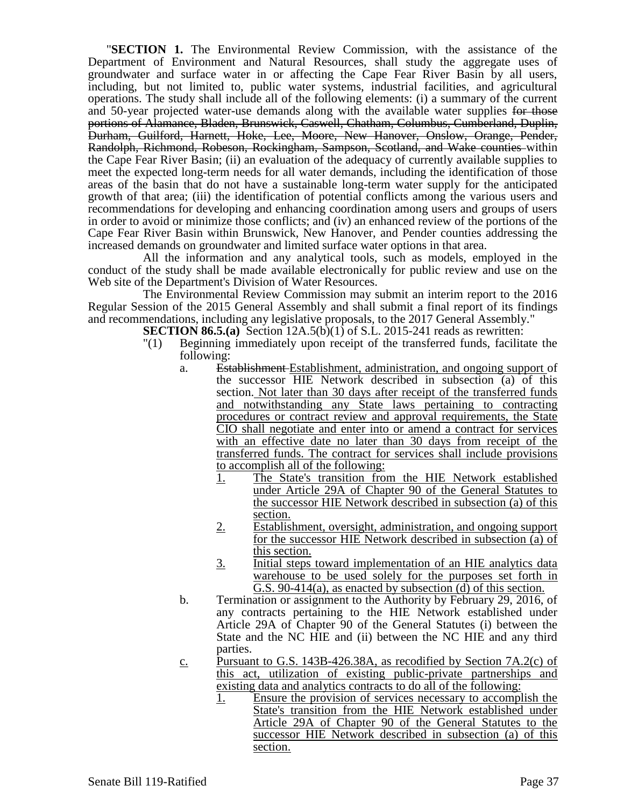"**SECTION 1.** The Environmental Review Commission, with the assistance of the Department of Environment and Natural Resources, shall study the aggregate uses of groundwater and surface water in or affecting the Cape Fear River Basin by all users, including, but not limited to, public water systems, industrial facilities, and agricultural operations. The study shall include all of the following elements: (i) a summary of the current and 50-year projected water-use demands along with the available water supplies for those portions of Alamance, Bladen, Brunswick, Caswell, Chatham, Columbus, Cumberland, Duplin, Durham, Guilford, Harnett, Hoke, Lee, Moore, New Hanover, Onslow, Orange, Pender, Randolph, Richmond, Robeson, Rockingham, Sampson, Scotland, and Wake counties within the Cape Fear River Basin; (ii) an evaluation of the adequacy of currently available supplies to meet the expected long-term needs for all water demands, including the identification of those areas of the basin that do not have a sustainable long-term water supply for the anticipated growth of that area; (iii) the identification of potential conflicts among the various users and recommendations for developing and enhancing coordination among users and groups of users in order to avoid or minimize those conflicts; and (iv) an enhanced review of the portions of the Cape Fear River Basin within Brunswick, New Hanover, and Pender counties addressing the increased demands on groundwater and limited surface water options in that area.

All the information and any analytical tools, such as models, employed in the conduct of the study shall be made available electronically for public review and use on the Web site of the Department's Division of Water Resources.

The Environmental Review Commission may submit an interim report to the 2016 Regular Session of the 2015 General Assembly and shall submit a final report of its findings and recommendations, including any legislative proposals, to the 2017 General Assembly."

- **SECTION 86.5.(a)** Section 12A.5(b)(1) of S.L. 2015-241 reads as rewritten:
	- "(1) Beginning immediately upon receipt of the transferred funds, facilitate the following:
		- a. Establishment Establishment, administration, and ongoing support of the successor HIE Network described in subsection (a) of this section. Not later than 30 days after receipt of the transferred funds and notwithstanding any State laws pertaining to contracting procedures or contract review and approval requirements, the State CIO shall negotiate and enter into or amend a contract for services with an effective date no later than 30 days from receipt of the transferred funds. The contract for services shall include provisions to accomplish all of the following:
			- 1. The State's transition from the HIE Network established under Article 29A of Chapter 90 of the General Statutes to the successor HIE Network described in subsection (a) of this section.
			- 2. Establishment, oversight, administration, and ongoing support for the successor HIE Network described in subsection (a) of this section.
			- 3. Initial steps toward implementation of an HIE analytics data warehouse to be used solely for the purposes set forth in G.S. 90-414(a), as enacted by subsection  $(d)$  of this section.
		- b. Termination or assignment to the Authority by February 29, 2016, of any contracts pertaining to the HIE Network established under Article 29A of Chapter 90 of the General Statutes (i) between the State and the NC HIE and (ii) between the NC HIE and any third parties.
		- c. Pursuant to G.S. 143B-426.38A, as recodified by Section 7A.2(c) of this act, utilization of existing public-private partnerships and existing data and analytics contracts to do all of the following:
			- 1. Ensure the provision of services necessary to accomplish the State's transition from the HIE Network established under Article 29A of Chapter 90 of the General Statutes to the successor HIE Network described in subsection (a) of this section.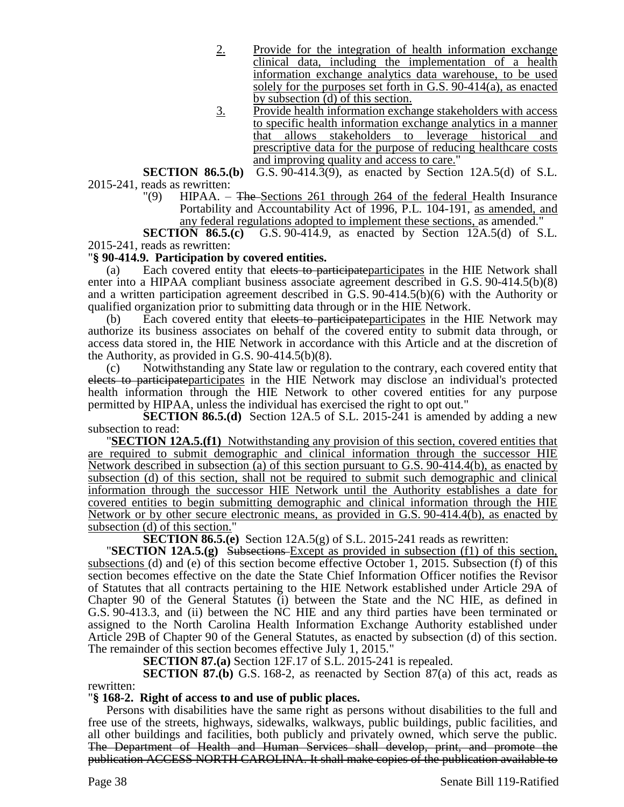- 2. Provide for the integration of health information exchange clinical data, including the implementation of a health information exchange analytics data warehouse, to be used solely for the purposes set forth in G.S. 90-414(a), as enacted by subsection (d) of this section.
- 3. Provide health information exchange stakeholders with access to specific health information exchange analytics in a manner that allows stakeholders to leverage historical and prescriptive data for the purpose of reducing healthcare costs and improving quality and access to care."

**SECTION 86.5.(b)** G.S. 90-414.3(9), as enacted by Section 12A.5(d) of S.L. 2015-241, reads as rewritten:

"(9) HIPAA.  $-$  The Sections 261 through 264 of the federal Health Insurance Portability and Accountability Act of 1996, P.L. 104-191, as amended, and any federal regulations adopted to implement these sections, as amended."

**SECTION 86.5.(c)** G.S. 90-414.9, as enacted by Section 12A.5(d) of S.L. 2015-241, reads as rewritten:

## "**§ 90-414.9. Participation by covered entities.**

(a) Each covered entity that elects to participate participates in the HIE Network shall enter into a HIPAA compliant business associate agreement described in G.S. 90-414.5(b)(8) and a written participation agreement described in G.S. 90-414.5(b)(6) with the Authority or qualified organization prior to submitting data through or in the HIE Network.

(b) Each covered entity that elects to participate participates in the HIE Network may authorize its business associates on behalf of the covered entity to submit data through, or access data stored in, the HIE Network in accordance with this Article and at the discretion of the Authority, as provided in G.S. 90-414.5(b)(8).

(c) Notwithstanding any State law or regulation to the contrary, each covered entity that elects to participateparticipates in the HIE Network may disclose an individual's protected health information through the HIE Network to other covered entities for any purpose permitted by HIPAA, unless the individual has exercised the right to opt out."

**SECTION 86.5.(d)** Section 12A.5 of S.L. 2015-241 is amended by adding a new subsection to read:

"**SECTION 12A.5.(f1)** Notwithstanding any provision of this section, covered entities that are required to submit demographic and clinical information through the successor HIE Network described in subsection (a) of this section pursuant to G.S. 90-414.4(b), as enacted by subsection (d) of this section, shall not be required to submit such demographic and clinical information through the successor HIE Network until the Authority establishes a date for covered entities to begin submitting demographic and clinical information through the HIE Network or by other secure electronic means, as provided in G.S. 90-414.4(b), as enacted by subsection (d) of this section."

**SECTION 86.5.(e)** Section 12A.5(g) of S.L. 2015-241 reads as rewritten:

**"SECTION 12A.5.(g)** Subsections–Except as provided in subsection (f1) of this section, subsections (d) and (e) of this section become effective October 1, 2015. Subsection (f) of this section becomes effective on the date the State Chief Information Officer notifies the Revisor of Statutes that all contracts pertaining to the HIE Network established under Article 29A of Chapter 90 of the General Statutes (i) between the State and the NC HIE, as defined in G.S. 90-413.3, and (ii) between the NC HIE and any third parties have been terminated or assigned to the North Carolina Health Information Exchange Authority established under Article 29B of Chapter 90 of the General Statutes, as enacted by subsection (d) of this section. The remainder of this section becomes effective July 1, 2015."

**SECTION 87.(a)** Section 12F.17 of S.L. 2015-241 is repealed.

**SECTION 87.(b)** G.S. 168-2, as reenacted by Section 87(a) of this act, reads as rewritten:

# "**§ 168-2. Right of access to and use of public places.**

Persons with disabilities have the same right as persons without disabilities to the full and free use of the streets, highways, sidewalks, walkways, public buildings, public facilities, and all other buildings and facilities, both publicly and privately owned, which serve the public. The Department of Health and Human Services shall develop, print, and promote the publication ACCESS NORTH CAROLINA. It shall make copies of the publication available to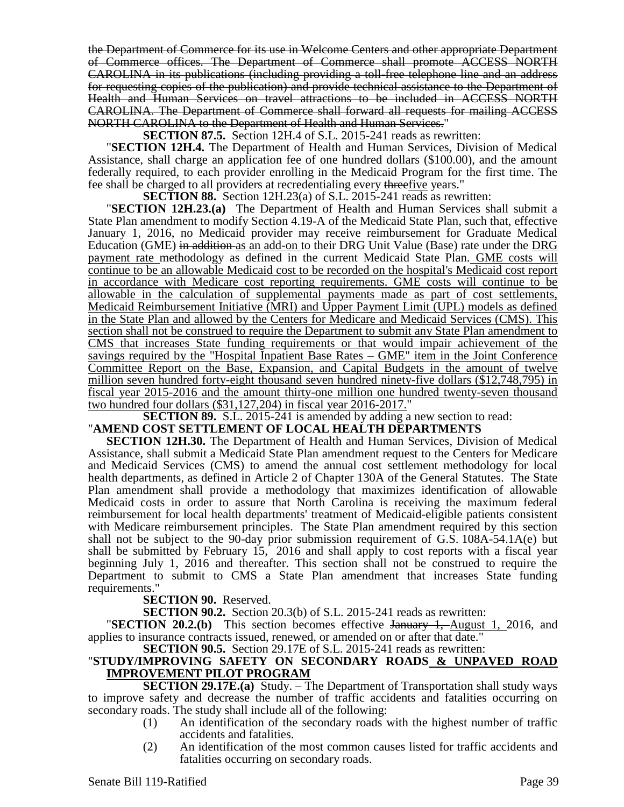the Department of Commerce for its use in Welcome Centers and other appropriate Department of Commerce offices. The Department of Commerce shall promote ACCESS NORTH CAROLINA in its publications (including providing a toll-free telephone line and an address for requesting copies of the publication) and provide technical assistance to the Department of Health and Human Services on travel attractions to be included in ACCESS NORTH CAROLINA. The Department of Commerce shall forward all requests for mailing ACCESS NORTH CAROLINA to the Department of Health and Human Services."

**SECTION 87.5.** Section 12H.4 of S.L. 2015-241 reads as rewritten:

"**SECTION 12H.4.** The Department of Health and Human Services, Division of Medical Assistance, shall charge an application fee of one hundred dollars (\$100.00), and the amount federally required, to each provider enrolling in the Medicaid Program for the first time. The fee shall be charged to all providers at recredentialing every threefive years."

**SECTION 88.** Section 12H.23(a) of S.L. 2015-241 reads as rewritten:

"**SECTION 12H.23.(a)** The Department of Health and Human Services shall submit a State Plan amendment to modify Section 4.19-A of the Medicaid State Plan, such that, effective January 1, 2016, no Medicaid provider may receive reimbursement for Graduate Medical Education (GME) in addition as an add-on to their DRG Unit Value (Base) rate under the DRG payment rate methodology as defined in the current Medicaid State Plan. GME costs will continue to be an allowable Medicaid cost to be recorded on the hospital's Medicaid cost report in accordance with Medicare cost reporting requirements. GME costs will continue to be allowable in the calculation of supplemental payments made as part of cost settlements, Medicaid Reimbursement Initiative (MRI) and Upper Payment Limit (UPL) models as defined in the State Plan and allowed by the Centers for Medicare and Medicaid Services (CMS). This section shall not be construed to require the Department to submit any State Plan amendment to CMS that increases State funding requirements or that would impair achievement of the savings required by the "Hospital Inpatient Base Rates – GME" item in the Joint Conference Committee Report on the Base, Expansion, and Capital Budgets in the amount of twelve million seven hundred forty-eight thousand seven hundred ninety-five dollars (\$12,748,795) in fiscal year 2015-2016 and the amount thirty-one million one hundred twenty-seven thousand two hundred four dollars (\$31,127,204) in fiscal year 2016-2017."

**SECTION 89.** S.L. 2015-241 is amended by adding a new section to read:

### "**AMEND COST SETTLEMENT OF LOCAL HEALTH DEPARTMENTS**

**SECTION 12H.30.** The Department of Health and Human Services, Division of Medical Assistance, shall submit a Medicaid State Plan amendment request to the Centers for Medicare and Medicaid Services (CMS) to amend the annual cost settlement methodology for local health departments, as defined in Article 2 of Chapter 130A of the General Statutes. The State Plan amendment shall provide a methodology that maximizes identification of allowable Medicaid costs in order to assure that North Carolina is receiving the maximum federal reimbursement for local health departments' treatment of Medicaid-eligible patients consistent with Medicare reimbursement principles. The State Plan amendment required by this section shall not be subject to the 90-day prior submission requirement of G.S. 108A-54.1A(e) but shall be submitted by February 15, 2016 and shall apply to cost reports with a fiscal year beginning July 1, 2016 and thereafter. This section shall not be construed to require the Department to submit to CMS a State Plan amendment that increases State funding requirements."

**SECTION 90.** Reserved.

**SECTION 90.2.** Section 20.3(b) of S.L. 2015-241 reads as rewritten:

**"SECTION 20.2.(b)** This section becomes effective January 1, August 1, 2016, and applies to insurance contracts issued, renewed, or amended on or after that date."

**SECTION 90.5.** Section 29.17E of S.L. 2015-241 reads as rewritten:

### "**STUDY/IMPROVING SAFETY ON SECONDARY ROADS & UNPAVED ROAD IMPROVEMENT PILOT PROGRAM**

**SECTION 29.17E.(a)** Study. – The Department of Transportation shall study ways to improve safety and decrease the number of traffic accidents and fatalities occurring on secondary roads. The study shall include all of the following:

- (1) An identification of the secondary roads with the highest number of traffic accidents and fatalities.
- (2) An identification of the most common causes listed for traffic accidents and fatalities occurring on secondary roads.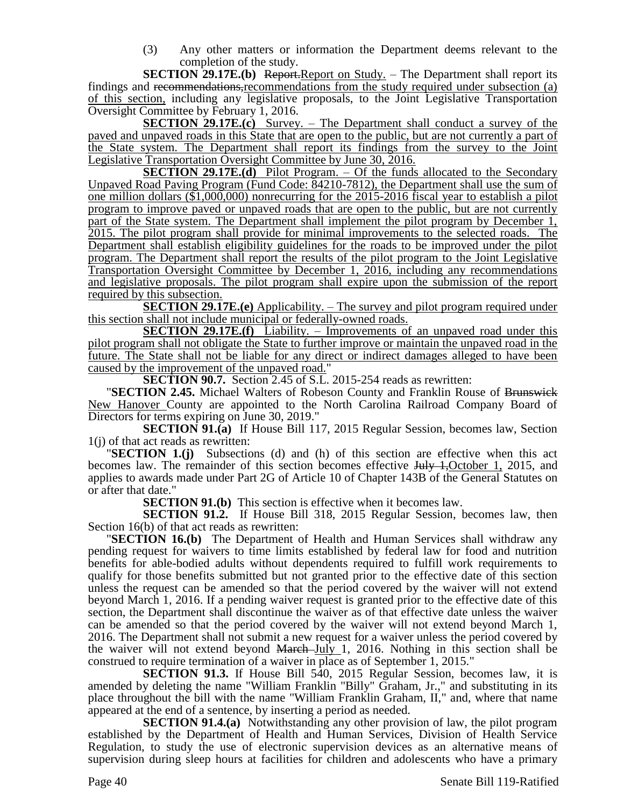(3) Any other matters or information the Department deems relevant to the completion of the study.

**SECTION 29.17E.(b)** Report.Report on Study. – The Department shall report its findings and recommendations,recommendations from the study required under subsection (a) of this section, including any legislative proposals, to the Joint Legislative Transportation Oversight Committee by February 1, 2016.

**SECTION 29.17E.(c)** Survey. – The Department shall conduct a survey of the paved and unpaved roads in this State that are open to the public, but are not currently a part of the State system. The Department shall report its findings from the survey to the Joint Legislative Transportation Oversight Committee by June 30, 2016.

**SECTION 29.17E.(d)** Pilot Program. – Of the funds allocated to the Secondary Unpaved Road Paving Program (Fund Code: 84210-7812), the Department shall use the sum of one million dollars (\$1,000,000) nonrecurring for the 2015-2016 fiscal year to establish a pilot program to improve paved or unpaved roads that are open to the public, but are not currently part of the State system. The Department shall implement the pilot program by December 1, 2015. The pilot program shall provide for minimal improvements to the selected roads. The Department shall establish eligibility guidelines for the roads to be improved under the pilot program. The Department shall report the results of the pilot program to the Joint Legislative Transportation Oversight Committee by December 1, 2016, including any recommendations and legislative proposals. The pilot program shall expire upon the submission of the report required by this subsection.

**SECTION 29.17E.(e)** Applicability. – The survey and pilot program required under this section shall not include municipal or federally-owned roads.

**SECTION 29.17E.**(f) Liability. – Improvements of an unpaved road under this pilot program shall not obligate the State to further improve or maintain the unpaved road in the future. The State shall not be liable for any direct or indirect damages alleged to have been caused by the improvement of the unpaved road."

**SECTION 90.7.** Section 2.45 of S.L. 2015-254 reads as rewritten:

"**SECTION 2.45.** Michael Walters of Robeson County and Franklin Rouse of Brunswick New Hanover County are appointed to the North Carolina Railroad Company Board of Directors for terms expiring on June 30, 2019."

**SECTION 91.(a)** If House Bill 117, 2015 Regular Session, becomes law, Section 1(j) of that act reads as rewritten:

"**SECTION 1.(j)** Subsections (d) and (h) of this section are effective when this act becomes law. The remainder of this section becomes effective July 1, October 1, 2015, and applies to awards made under Part 2G of Article 10 of Chapter 143B of the General Statutes on or after that date."

**SECTION 91.(b)** This section is effective when it becomes law.

**SECTION 91.2.** If House Bill 318, 2015 Regular Session, becomes law, then Section 16(b) of that act reads as rewritten:

"**SECTION 16.(b)** The Department of Health and Human Services shall withdraw any pending request for waivers to time limits established by federal law for food and nutrition benefits for able-bodied adults without dependents required to fulfill work requirements to qualify for those benefits submitted but not granted prior to the effective date of this section unless the request can be amended so that the period covered by the waiver will not extend beyond March 1, 2016. If a pending waiver request is granted prior to the effective date of this section, the Department shall discontinue the waiver as of that effective date unless the waiver can be amended so that the period covered by the waiver will not extend beyond March 1, 2016. The Department shall not submit a new request for a waiver unless the period covered by the waiver will not extend beyond  $\frac{\text{March-July 1}}{\text{Output 1}}$ , 2016. Nothing in this section shall be construed to require termination of a waiver in place as of September 1, 2015."

**SECTION 91.3.** If House Bill 540, 2015 Regular Session, becomes law, it is amended by deleting the name "William Franklin "Billy" Graham, Jr.," and substituting in its place throughout the bill with the name "William Franklin Graham, II," and, where that name appeared at the end of a sentence, by inserting a period as needed.

**SECTION 91.4.(a)** Notwithstanding any other provision of law, the pilot program established by the Department of Health and Human Services, Division of Health Service Regulation, to study the use of electronic supervision devices as an alternative means of supervision during sleep hours at facilities for children and adolescents who have a primary